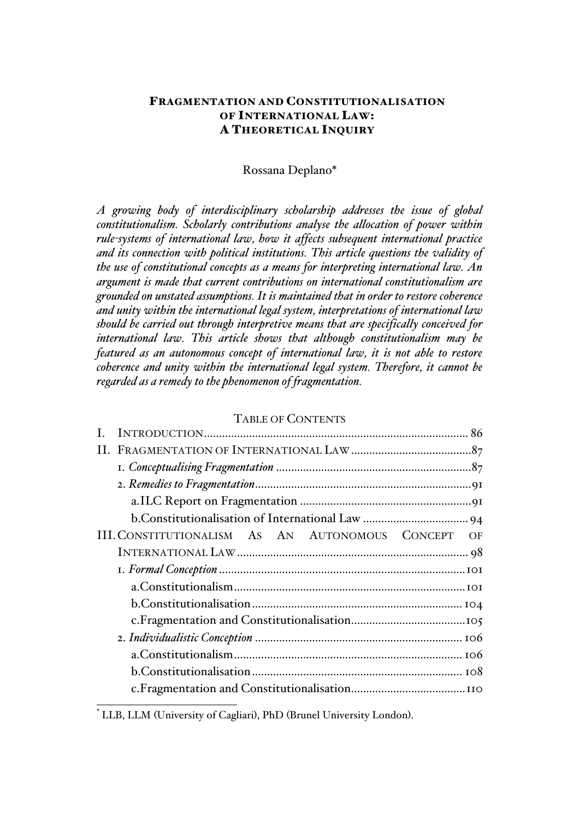# FRAGMENTATION AND CONSTITUTIONALISATION OF INTERNATIONAL LAW: A THEORETICAL INQUIRY

# Rossana Deplano\*

*A growing body of interdisciplinary scholarship addresses the issue of global constitutionalism. Scholarly contributions analyse the allocation of power within rule-systems of international law, how it affects subsequent international practice and its connection with political institutions. This article questions the validity of the use of constitutional concepts as a means for interpreting international law. An argument is made that current contributions on international constitutionalism are grounded on unstated assumptions. It is maintained that in order to restore coherence and unity within the international legal system, interpretations of international law should be carried out through interpretive means that are specifically conceived for international law. This article shows that although constitutionalism may be featured as an autonomous concept of international law, it is not able to restore coherence and unity within the international legal system. Therefore, it cannot be regarded as a remedy to the phenomenon of fragmentation.*

#### TABLE OF CONTENTS

| III. CONSTITUTIONALISM AS AN AUTONOMOUS CONCEPT | OF |  |
|-------------------------------------------------|----|--|
|                                                 |    |  |
|                                                 |    |  |
|                                                 |    |  |
|                                                 |    |  |
|                                                 |    |  |
|                                                 |    |  |
|                                                 |    |  |
|                                                 |    |  |
|                                                 |    |  |

 <sup>\*</sup> LLB, LLM (University of Cagliari), PhD (Brunel University London).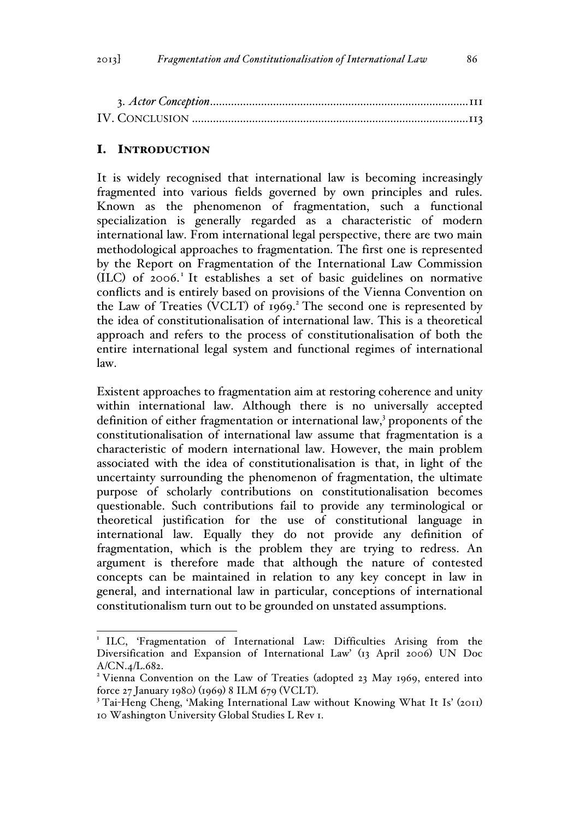# I. INTRODUCTION

It is widely recognised that international law is becoming increasingly fragmented into various fields governed by own principles and rules. Known as the phenomenon of fragmentation, such a functional specialization is generally regarded as a characteristic of modern international law. From international legal perspective, there are two main methodological approaches to fragmentation. The first one is represented by the Report on Fragmentation of the International Law Commission (ILC) of 2006.<sup>1</sup> It establishes a set of basic guidelines on normative conflicts and is entirely based on provisions of the Vienna Convention on the Law of Treaties (VCLT) of 1969.<sup>2</sup> The second one is represented by the idea of constitutionalisation of international law. This is a theoretical approach and refers to the process of constitutionalisation of both the entire international legal system and functional regimes of international law.

Existent approaches to fragmentation aim at restoring coherence and unity within international law. Although there is no universally accepted definition of either fragmentation or international law, $3$  proponents of the constitutionalisation of international law assume that fragmentation is a characteristic of modern international law. However, the main problem associated with the idea of constitutionalisation is that, in light of the uncertainty surrounding the phenomenon of fragmentation, the ultimate purpose of scholarly contributions on constitutionalisation becomes questionable. Such contributions fail to provide any terminological or theoretical justification for the use of constitutional language in international law. Equally they do not provide any definition of fragmentation, which is the problem they are trying to redress. An argument is therefore made that although the nature of contested concepts can be maintained in relation to any key concept in law in general, and international law in particular, conceptions of international constitutionalism turn out to be grounded on unstated assumptions.

<sup>&</sup>lt;sup>1</sup> ILC, 'Fragmentation of International Law: Difficulties Arising from the Diversification and Expansion of International Law' (13 April 2006) UN Doc A/CN.4/L.682.

<sup>&</sup>lt;sup>2</sup> Vienna Convention on the Law of Treaties (adopted 23 May 1969, entered into force 27 January 1980) (1969) 8 ILM 679 (VCLT).<br><sup>3</sup> Tai-Heng Cheng, 'Making International Law without Knowing What It Is' (2011)

<sup>10</sup> Washington University Global Studies L Rev 1.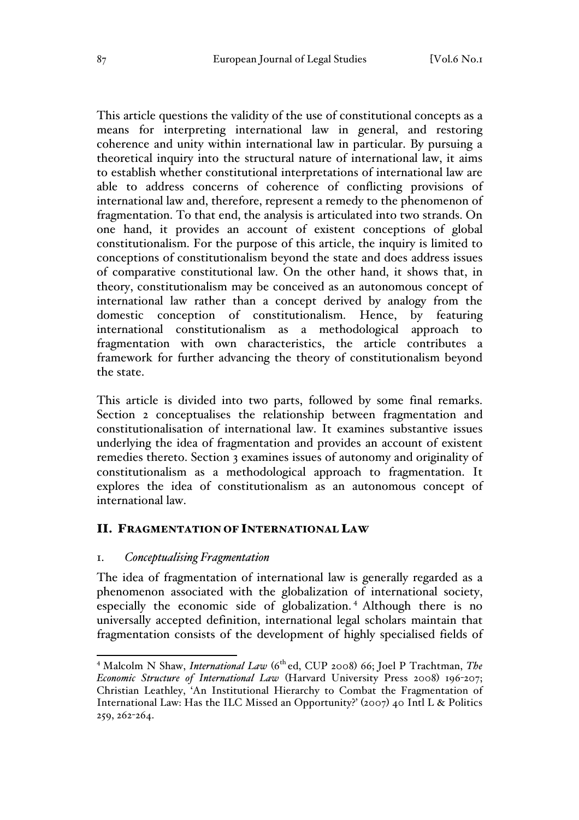This article questions the validity of the use of constitutional concepts as a means for interpreting international law in general, and restoring coherence and unity within international law in particular. By pursuing a theoretical inquiry into the structural nature of international law, it aims to establish whether constitutional interpretations of international law are able to address concerns of coherence of conflicting provisions of international law and, therefore, represent a remedy to the phenomenon of fragmentation. To that end, the analysis is articulated into two strands. On one hand, it provides an account of existent conceptions of global constitutionalism. For the purpose of this article, the inquiry is limited to conceptions of constitutionalism beyond the state and does address issues of comparative constitutional law. On the other hand, it shows that, in theory, constitutionalism may be conceived as an autonomous concept of international law rather than a concept derived by analogy from the domestic conception of constitutionalism. Hence, by featuring international constitutionalism as a methodological approach to fragmentation with own characteristics, the article contributes a framework for further advancing the theory of constitutionalism beyond the state.

This article is divided into two parts, followed by some final remarks. Section 2 conceptualises the relationship between fragmentation and constitutionalisation of international law. It examines substantive issues underlying the idea of fragmentation and provides an account of existent remedies thereto. Section 3 examines issues of autonomy and originality of constitutionalism as a methodological approach to fragmentation. It explores the idea of constitutionalism as an autonomous concept of international law.

# II. FRAGMENTATION OF INTERNATIONAL LAW

#### 1. *Conceptualising Fragmentation*

The idea of fragmentation of international law is generally regarded as a phenomenon associated with the globalization of international society, especially the economic side of globalization.<sup>4</sup> Although there is no universally accepted definition, international legal scholars maintain that fragmentation consists of the development of highly specialised fields of

<sup>&</sup>lt;sup>4</sup> Malcolm N Shaw, *International Law* (6<sup>th</sup> ed, CUP 2008) 66; Joel P Trachtman, *The Economic Structure of International Law* (Harvard University Press 2008) 196-207; Christian Leathley, 'An Institutional Hierarchy to Combat the Fragmentation of International Law: Has the ILC Missed an Opportunity?' (2007) 40 Intl L & Politics 259, 262-264.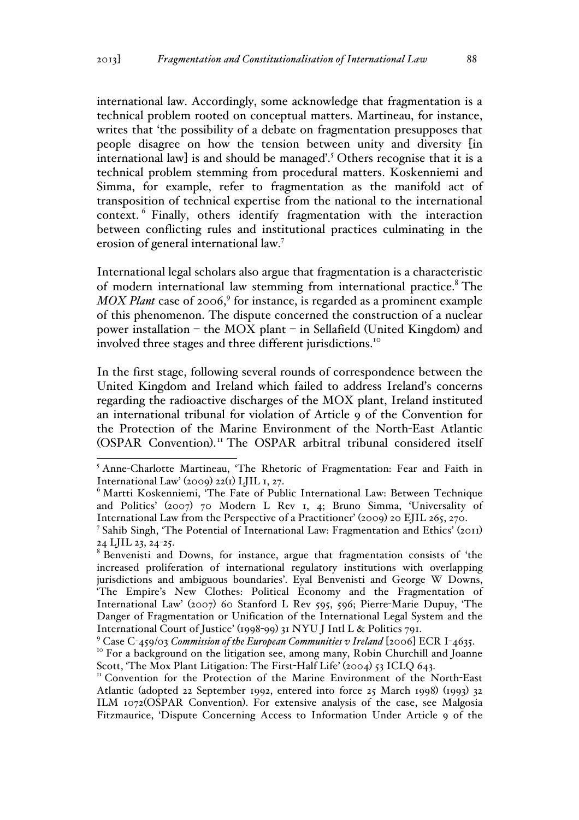international law. Accordingly, some acknowledge that fragmentation is a technical problem rooted on conceptual matters. Martineau, for instance, writes that 'the possibility of a debate on fragmentation presupposes that people disagree on how the tension between unity and diversity [in international law] is and should be managed'.<sup>5</sup> Others recognise that it is a technical problem stemming from procedural matters. Koskenniemi and Simma, for example, refer to fragmentation as the manifold act of transposition of technical expertise from the national to the international context. <sup>6</sup> Finally, others identify fragmentation with the interaction between conflicting rules and institutional practices culminating in the erosion of general international law.<sup>7</sup>

International legal scholars also argue that fragmentation is a characteristic of modern international law stemming from international practice.<sup>8</sup> The *MOX Plant* case of 2006,<sup>9</sup> for instance, is regarded as a prominent example of this phenomenon. The dispute concerned the construction of a nuclear power installation – the MOX plant – in Sellafield (United Kingdom) and involved three stages and three different jurisdictions.<sup>10</sup>

In the first stage, following several rounds of correspondence between the United Kingdom and Ireland which failed to address Ireland's concerns regarding the radioactive discharges of the MOX plant, Ireland instituted an international tribunal for violation of Article 9 of the Convention for the Protection of the Marine Environment of the North-East Atlantic (OSPAR Convention).<sup>11</sup> The OSPAR arbitral tribunal considered itself

<sup>&</sup>lt;sup>5</sup> Anne-Charlotte Martineau, 'The Rhetoric of Fragmentation: Fear and Faith in International Law' (2009) 22(1) LJIL 1, 27.

<sup>6</sup> Martti Koskenniemi, 'The Fate of Public International Law: Between Technique and Politics' (2007) 70 Modern L Rev 1, 4; Bruno Simma, 'Universality of International Law from the Perspective of a Practitioner' (2009) 20 EJIL 265, 270.

<sup>7</sup> Sahib Singh, 'The Potential of International Law: Fragmentation and Ethics' (2011) 24 LJIL 23, 24-25.

Benvenisti and Downs, for instance, argue that fragmentation consists of 'the increased proliferation of international regulatory institutions with overlapping jurisdictions and ambiguous boundaries'. Eyal Benvenisti and George W Downs, 'The Empire's New Clothes: Political Economy and the Fragmentation of International Law' (2007) 60 Stanford L Rev 595, 596; Pierre-Marie Dupuy, 'The Danger of Fragmentation or Unification of the International Legal System and the International Court of Justice' (1998-99) 31 NYU J Intl L & Politics 791.

<sup>&</sup>lt;sup>9</sup> Case C-459/03 *Commission of the European Communities v Ireland* [2006] ECR I-4635.<br><sup>10</sup> For a background on the litigation see, among many, Robin Churchill and Joanne<br>Scott, 'The Mox Plant Litigation: The First-Half

II Convention for the Protection of the Marine Environment of the North-East Atlantic (adopted 22 September 1992, entered into force 25 March 1998) (1993) 32 ILM 1072(OSPAR Convention). For extensive analysis of the case, see Malgosia Fitzmaurice, 'Dispute Concerning Access to Information Under Article 9 of the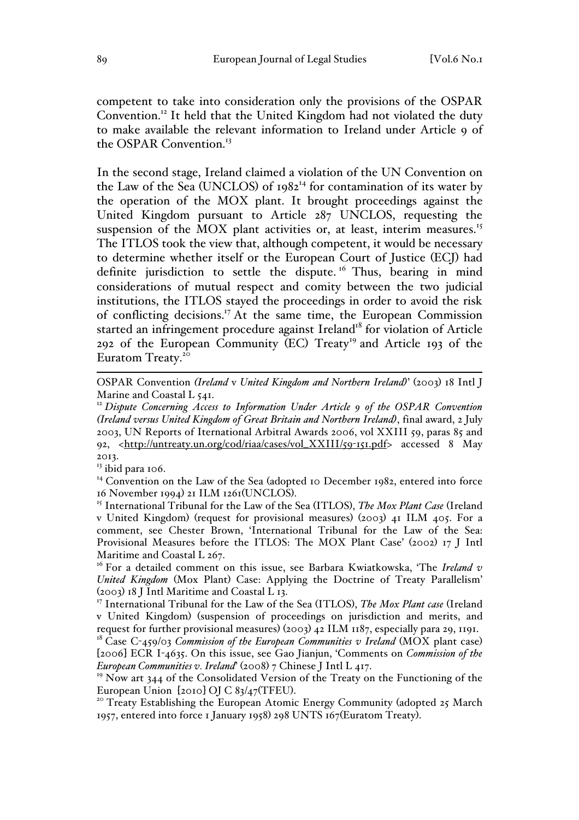competent to take into consideration only the provisions of the OSPAR Convention.12 It held that the United Kingdom had not violated the duty to make available the relevant information to Ireland under Article 9 of the OSPAR Convention.<sup>13</sup>

In the second stage, Ireland claimed a violation of the UN Convention on the Law of the Sea (UNCLOS) of 1982<sup>14</sup> for contamination of its water by the operation of the MOX plant. It brought proceedings against the United Kingdom pursuant to Article 287 UNCLOS, requesting the suspension of the MOX plant activities or, at least, interim measures.<sup>15</sup> The ITLOS took the view that, although competent, it would be necessary to determine whether itself or the European Court of Justice (ECJ) had definite jurisdiction to settle the dispute.<sup>16</sup> Thus, bearing in mind considerations of mutual respect and comity between the two judicial institutions, the ITLOS stayed the proceedings in order to avoid the risk of conflicting decisions.17 At the same time, the European Commission started an infringement procedure against Ireland<sup>18</sup> for violation of Article 292 of the European Community (EC) Treaty<sup>19</sup> and Article 193 of the Euratom Treaty.<sup>20</sup>

 OSPAR Convention *(Ireland* <sup>v</sup> *United Kingdom and Northern Ireland)*' (2003) 18 Intl J Marine and Coastal L 541.

<sup>13</sup> ibid para 106.

<sup>14</sup> Convention on the Law of the Sea (adopted 10 December 1982, entered into force 16 November 1994) 21 ILM 1261(UNCLOS). <sup>15</sup> International Tribunal for the Law of the Sea (ITLOS), *The Mox Plant Case* (Ireland

v United Kingdom) (request for provisional measures) (2003) 41 ILM 405. For a comment, see Chester Brown, 'International Tribunal for the Law of the Sea: Provisional Measures before the ITLOS: The MOX Plant Case' (2002) 17 J Intl Maritime and Coastal L 267.

<sup>16</sup> For a detailed comment on this issue, see Barbara Kwiatkowska, 'The *Ireland v United Kingdom* (Mox Plant) Case: Applying the Doctrine of Treaty Parallelism' (2003) 18 J Intl Maritime and Coastal L 13.

<sup>17</sup> International Tribunal for the Law of the Sea (ITLOS), *The Mox Plant case* (Ireland v United Kingdom) (suspension of proceedings on jurisdiction and merits, and

request for further provisional measures) (2003) 42 ILM 1187, especially para 29, 1191.<br><sup>18</sup> Case C-459/03 *Commission of the European Communities v Ireland* (MOX plant case) [2006] ECR I-4635. On this issue, see Gao Jianjun, 'Comments on *Commission of the European Communities v. Ireland*' (2008) 7 Chinese J Intl L 417.

 $19$  Now art 344 of the Consolidated Version of the Treaty on the Functioning of the

European Union [2010] OJ C 83/47(TFEU).<br><sup>20</sup> Treaty Establishing the European Atomic Energy Community (adopted 25 March 1957, entered into force 1 January 1958) 298 UNTS 167(Euratom Treaty).

<sup>&</sup>lt;sup>12</sup> Dispute Concerning Access to Information Under Article 9 of the OSPAR Convention *(Ireland versus United Kingdom of Great Britain and Northern Ireland)*, final award, 2 July 2003, UN Reports of Iternational Arbitral Awards 2006, vol XXIII 59, paras 85 and 92, <http://untreaty.un.org/cod/riaa/cases/vol\_XXIII/59-151.pdf> accessed 8 May 2013.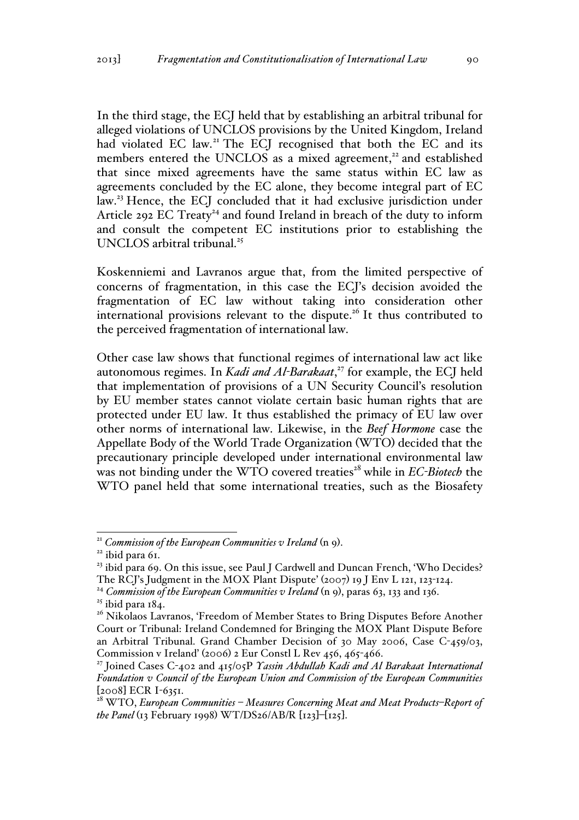In the third stage, the ECJ held that by establishing an arbitral tribunal for alleged violations of UNCLOS provisions by the United Kingdom, Ireland had violated EC law.<sup>21</sup> The ECJ recognised that both the EC and its members entered the UNCLOS as a mixed agreement,<sup>22</sup> and established that since mixed agreements have the same status within EC law as agreements concluded by the EC alone, they become integral part of EC law.<sup>23</sup> Hence, the ECJ concluded that it had exclusive jurisdiction under Article 292 EC Treaty<sup>24</sup> and found Ireland in breach of the duty to inform and consult the competent EC institutions prior to establishing the UNCLOS arbitral tribunal.<sup>25</sup>

Koskenniemi and Lavranos argue that, from the limited perspective of concerns of fragmentation, in this case the ECJ's decision avoided the fragmentation of EC law without taking into consideration other international provisions relevant to the dispute.<sup>26</sup> It thus contributed to the perceived fragmentation of international law.

Other case law shows that functional regimes of international law act like autonomous regimes. In *Kadi and Al-Barakaat*, <sup>27</sup> for example, the ECJ held that implementation of provisions of a UN Security Council's resolution by EU member states cannot violate certain basic human rights that are protected under EU law. It thus established the primacy of EU law over other norms of international law. Likewise, in the *Beef Hormone* case the Appellate Body of the World Trade Organization (WTO) decided that the precautionary principle developed under international environmental law was not binding under the WTO covered treaties<sup>28</sup> while in *EC-Biotech* the WTO panel held that some international treaties, such as the Biosafety

<sup>&</sup>lt;sup>21</sup> *Commission of the European Communities v Ireland* (n 9).<br><sup>22</sup> ibid para 61.

<sup>&</sup>lt;sup>23</sup> ibid para 69. On this issue, see Paul J Cardwell and Duncan French, 'Who Decides? The RCJ's Judgment in the MOX Plant Dispute' (2007) 19 J Env L 121, 123-124.

<sup>&</sup>lt;sup>24</sup> *Commission of the European Communities v Ireland*  $(n, q)$ , paras 63, 133 and 136.

<sup>&</sup>lt;sup>25</sup> ibid para 184.<br><sup>26</sup> Nikolaos Lavranos, 'Freedom of Member States to Bring Disputes Before Another Court or Tribunal: Ireland Condemned for Bringing the MOX Plant Dispute Before an Arbitral Tribunal. Grand Chamber Decision of 30 May 2006, Case C-459/03, Commission v Ireland' (2006) 2 Eur Constl L Rev 456, 465-466.

<sup>27</sup> Joined Cases C-402 and 415/05P *Yassin Abdullah Kadi and Al Barakaat International Foundation v Council of the European Union and Commission of the European Communities* [2008] ECR I-6351.

<sup>28</sup> WTO, *European Communities – Measures Concerning Meat and Meat Products–Report of the Panel* (13 February 1998) WT/DS26/AB/R [123]–[125].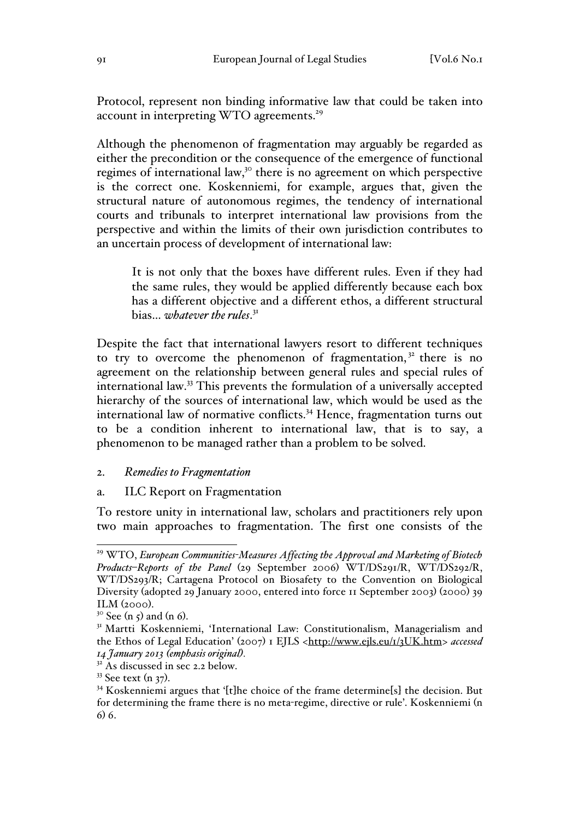Protocol, represent non binding informative law that could be taken into account in interpreting WTO agreements.<sup>29</sup>

Although the phenomenon of fragmentation may arguably be regarded as either the precondition or the consequence of the emergence of functional regimes of international law,<sup>30</sup> there is no agreement on which perspective is the correct one. Koskenniemi, for example, argues that, given the structural nature of autonomous regimes, the tendency of international courts and tribunals to interpret international law provisions from the perspective and within the limits of their own jurisdiction contributes to an uncertain process of development of international law:

It is not only that the boxes have different rules. Even if they had the same rules, they would be applied differently because each box has a different objective and a different ethos, a different structural bias… *whatever the rules*. 31

Despite the fact that international lawyers resort to different techniques to try to overcome the phenomenon of fragmentation, $32$  there is no agreement on the relationship between general rules and special rules of international law.<sup>33</sup> This prevents the formulation of a universally accepted hierarchy of the sources of international law, which would be used as the international law of normative conflicts.<sup>34</sup> Hence, fragmentation turns out to be a condition inherent to international law, that is to say, a phenomenon to be managed rather than a problem to be solved.

#### 2. *Remedies to Fragmentation*

#### a. ILC Report on Fragmentation

To restore unity in international law, scholars and practitioners rely upon two main approaches to fragmentation. The first one consists of the

 <sup>29</sup> WTO, *European Communities-Measures Affecting the Approval and Marketing of Biotech Products*–*Reports of the Panel* (29 September 2006) WT/DS291/R, WT/DS292/R, WT/DS293/R; Cartagena Protocol on Biosafety to the Convention on Biological Diversity (adopted 29 January 2000, entered into force 11 September 2003) (2000) 39 ILM (2000).<br><sup>30</sup> See (n 5) and (n 6).<br><sup>31</sup> Martti Koskenniemi, 'International Law: Constitutionalism, Managerialism and

the Ethos of Legal Education' (2007) 1 EJLS <http://www.ejls.eu/1/3UK.htm> accessed *14 January 2013 (emphasis original).* <sup>32</sup> As discussed in sec 2.2 below.

<sup>&</sup>lt;sup>33</sup> See text (n 37).<br><sup>34</sup> Koskenniemi argues that '[t]he choice of the frame determine[s] the decision. But for determining the frame there is no meta-regime, directive or rule'. Koskenniemi (n 6) 6.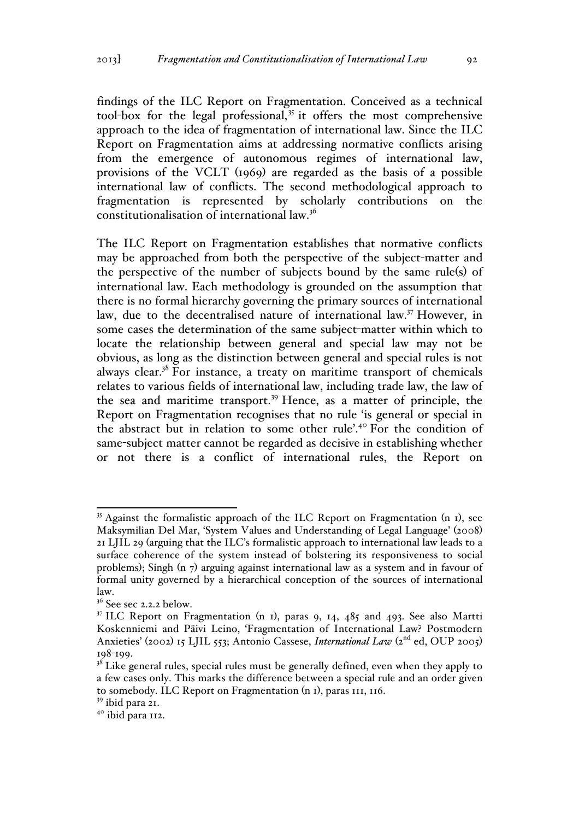findings of the ILC Report on Fragmentation. Conceived as a technical tool-box for the legal professional, $35$  it offers the most comprehensive approach to the idea of fragmentation of international law. Since the ILC Report on Fragmentation aims at addressing normative conflicts arising from the emergence of autonomous regimes of international law, provisions of the VCLT (1969) are regarded as the basis of a possible international law of conflicts. The second methodological approach to fragmentation is represented by scholarly contributions on the constitutionalisation of international law.<sup>36</sup>

The ILC Report on Fragmentation establishes that normative conflicts may be approached from both the perspective of the subject-matter and the perspective of the number of subjects bound by the same rule(s) of international law. Each methodology is grounded on the assumption that there is no formal hierarchy governing the primary sources of international law, due to the decentralised nature of international law.<sup>37</sup> However, in some cases the determination of the same subject-matter within which to locate the relationship between general and special law may not be obvious, as long as the distinction between general and special rules is not always clear.<sup>38</sup> For instance, a treaty on maritime transport of chemicals relates to various fields of international law, including trade law, the law of the sea and maritime transport.<sup>39</sup> Hence, as a matter of principle, the Report on Fragmentation recognises that no rule 'is general or special in the abstract but in relation to some other rule'.<sup>40</sup> For the condition of same-subject matter cannot be regarded as decisive in establishing whether or not there is a conflict of international rules, the Report on

 $35$  Against the formalistic approach of the ILC Report on Fragmentation (n 1), see Maksymilian Del Mar, 'System Values and Understanding of Legal Language' (2008) 21 LJIL 29 (arguing that the ILC's formalistic approach to international law leads to a surface coherence of the system instead of bolstering its responsiveness to social problems); Singh (n 7) arguing against international law as a system and in favour of formal unity governed by a hierarchical conception of the sources of international law.

 $36$  See sec 2.2.2 below.

 $37$  ILC Report on Fragmentation (n 1), paras 9, 14, 485 and 493. See also Martti Koskenniemi and Päivi Leino, 'Fragmentation of International Law? Postmodern Anxieties' (2002) 15 LJIL 553; Antonio Cassese, International Law (2<sup>nd</sup> ed, OUP 2005) 198-199.

 $3<sup>8</sup>$  Like general rules, special rules must be generally defined, even when they apply to a few cases only. This marks the difference between a special rule and an order given to somebody. ILC Report on Fragmentation (n 1), paras 111, 116.

<sup>39</sup> ibid para 21.

<sup>&</sup>lt;sup>40</sup> ibid para 112.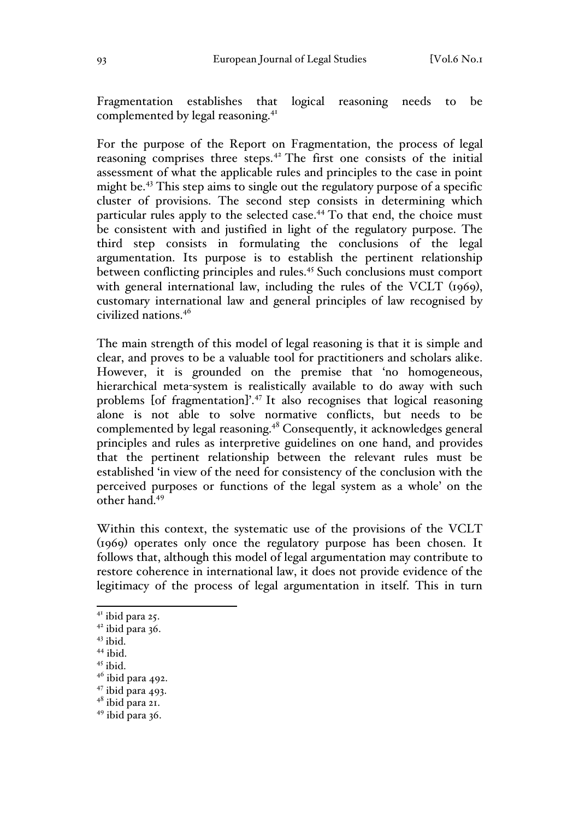Fragmentation establishes that logical reasoning needs to be complemented by legal reasoning.<sup>41</sup>

For the purpose of the Report on Fragmentation, the process of legal reasoning comprises three steps.<sup>42</sup> The first one consists of the initial assessment of what the applicable rules and principles to the case in point might be.<sup>43</sup> This step aims to single out the regulatory purpose of a specific cluster of provisions. The second step consists in determining which particular rules apply to the selected case.<sup>44</sup> To that end, the choice must be consistent with and justified in light of the regulatory purpose. The third step consists in formulating the conclusions of the legal argumentation. Its purpose is to establish the pertinent relationship between conflicting principles and rules.<sup>45</sup> Such conclusions must comport with general international law, including the rules of the VCLT (1969), customary international law and general principles of law recognised by civilized nations.<sup>46</sup>

The main strength of this model of legal reasoning is that it is simple and clear, and proves to be a valuable tool for practitioners and scholars alike. However, it is grounded on the premise that 'no homogeneous, hierarchical meta-system is realistically available to do away with such problems [of fragmentation]'.<sup>47</sup> It also recognises that logical reasoning alone is not able to solve normative conflicts, but needs to be complemented by legal reasoning.<sup>48</sup> Consequently, it acknowledges general principles and rules as interpretive guidelines on one hand, and provides that the pertinent relationship between the relevant rules must be established 'in view of the need for consistency of the conclusion with the perceived purposes or functions of the legal system as a whole' on the other hand.49

Within this context, the systematic use of the provisions of the VCLT (1969) operates only once the regulatory purpose has been chosen. It follows that, although this model of legal argumentation may contribute to restore coherence in international law, it does not provide evidence of the legitimacy of the process of legal argumentation in itself. This in turn

<sup>&</sup>lt;sup>41</sup> ibid para 25.

 $42$  ibid para 36.

 $43$  ibid.

<sup>44</sup> ibid.

 $^{45}$ ibid.

 $46$  ibid para 492.

 $47 \text{ ibid para } 493$ .<br> $48 \text{ ibid para } 21$ .

 $49$  ibid para 36.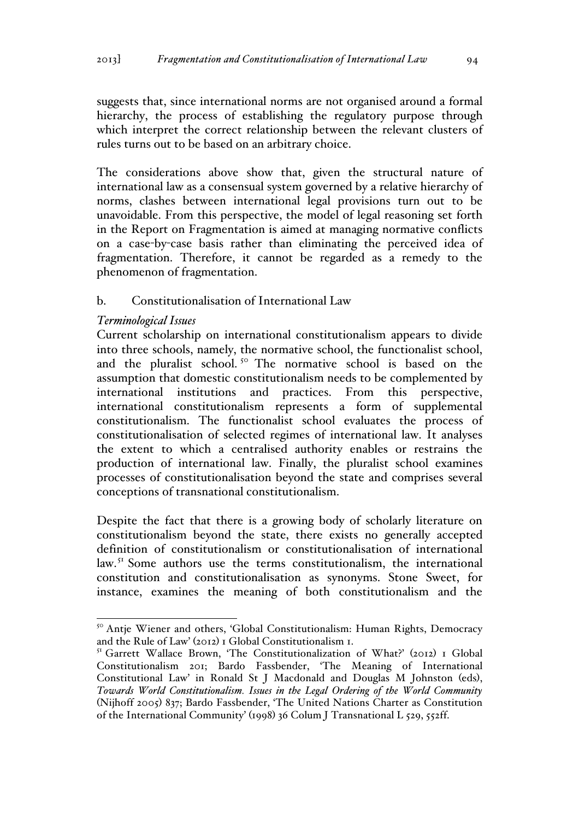suggests that, since international norms are not organised around a formal hierarchy, the process of establishing the regulatory purpose through which interpret the correct relationship between the relevant clusters of rules turns out to be based on an arbitrary choice.

The considerations above show that, given the structural nature of international law as a consensual system governed by a relative hierarchy of norms, clashes between international legal provisions turn out to be unavoidable. From this perspective, the model of legal reasoning set forth in the Report on Fragmentation is aimed at managing normative conflicts on a case-by-case basis rather than eliminating the perceived idea of fragmentation. Therefore, it cannot be regarded as a remedy to the phenomenon of fragmentation.

## b. Constitutionalisation of International Law

### *Terminological Issues*

Current scholarship on international constitutionalism appears to divide into three schools, namely, the normative school, the functionalist school, and the pluralist school.<sup>50</sup> The normative school is based on the assumption that domestic constitutionalism needs to be complemented by international institutions and practices. From this perspective, international constitutionalism represents a form of supplemental constitutionalism. The functionalist school evaluates the process of constitutionalisation of selected regimes of international law. It analyses the extent to which a centralised authority enables or restrains the production of international law. Finally, the pluralist school examines processes of constitutionalisation beyond the state and comprises several conceptions of transnational constitutionalism.

Despite the fact that there is a growing body of scholarly literature on constitutionalism beyond the state, there exists no generally accepted definition of constitutionalism or constitutionalisation of international law.<sup>51</sup> Some authors use the terms constitutionalism, the international constitution and constitutionalisation as synonyms. Stone Sweet, for instance, examines the meaning of both constitutionalism and the

<sup>&</sup>lt;sup>50</sup> Antje Wiener and others, 'Global Constitutionalism: Human Rights, Democracy and the Rule of Law' (2012) 1 Global Constitutionalism 1.

<sup>&</sup>lt;sup>51</sup> Garrett Wallace Brown, 'The Constitutionalization of What?' (2012) 1 Global Constitutionalism 201; Bardo Fassbender, 'The Meaning of International Constitutional Law' in Ronald St J Macdonald and Douglas M Johnston (eds), *Towards World Constitutionalism. Issues in the Legal Ordering of the World Community* (Nijhoff 2005) 837; Bardo Fassbender, 'The United Nations Charter as Constitution of the International Community' (1998) 36 Colum J Transnational L 529, 552ff.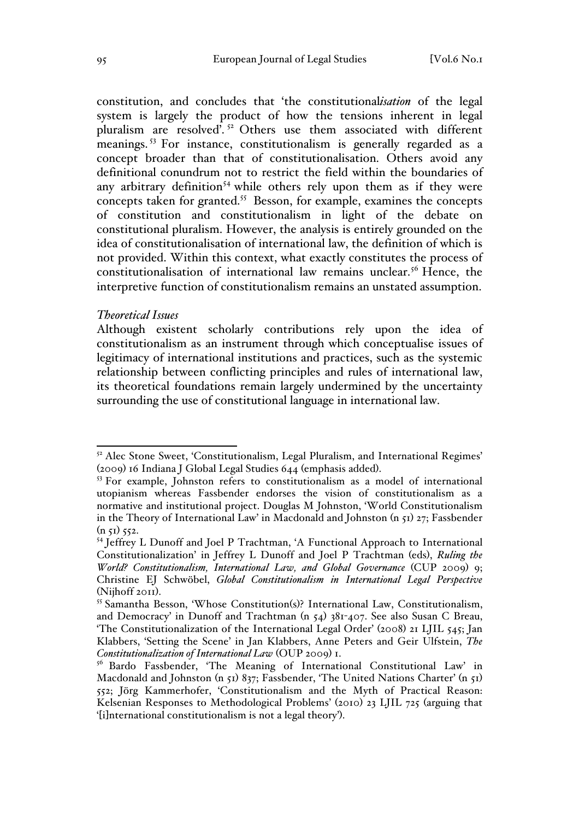constitution, and concludes that 'the constitutional*isation* of the legal system is largely the product of how the tensions inherent in legal pluralism are resolved'. <sup>52</sup> Others use them associated with different meanings. <sup>53</sup> For instance, constitutionalism is generally regarded as a concept broader than that of constitutionalisation. Others avoid any definitional conundrum not to restrict the field within the boundaries of any arbitrary definition<sup>54</sup> while others rely upon them as if they were concepts taken for granted.<sup>55</sup> Besson, for example, examines the concepts of constitution and constitutionalism in light of the debate on constitutional pluralism. However, the analysis is entirely grounded on the idea of constitutionalisation of international law, the definition of which is not provided. Within this context, what exactly constitutes the process of constitutionalisation of international law remains unclear.<sup>56</sup> Hence, the interpretive function of constitutionalism remains an unstated assumption.

#### *Theoretical Issues*

Although existent scholarly contributions rely upon the idea of constitutionalism as an instrument through which conceptualise issues of legitimacy of international institutions and practices, such as the systemic relationship between conflicting principles and rules of international law, its theoretical foundations remain largely undermined by the uncertainty surrounding the use of constitutional language in international law.

 $5<sup>2</sup>$  Alec Stone Sweet, 'Constitutionalism, Legal Pluralism, and International Regimes' (2009) 16 Indiana J Global Legal Studies 644 (emphasis added).<br><sup>53</sup> For example, Johnston refers to constitutionalism as a model of international

utopianism whereas Fassbender endorses the vision of constitutionalism as a normative and institutional project. Douglas M Johnston, 'World Constitutionalism in the Theory of International Law' in Macdonald and Johnston (n 51) 27; Fassbender  $(n 51) 552.$ 

<sup>54</sup> Jeffrey L Dunoff and Joel P Trachtman, 'A Functional Approach to International Constitutionalization' in Jeffrey L Dunoff and Joel P Trachtman (eds), *Ruling the World? Constitutionalism, International Law, and Global Governance* (CUP 2009) 9; Christine EJ Schwöbel, *Global Constitutionalism in International Legal Perspective* (Nijhoff 2011). <sup>55</sup> Samantha Besson, 'Whose Constitution(s)? International Law, Constitutionalism,

and Democracy' in Dunoff and Trachtman (n 54) 381-407. See also Susan C Breau, 'The Constitutionalization of the International Legal Order' (2008) 21 LJIL 545; Jan Klabbers, 'Setting the Scene' in Jan Klabbers, Anne Peters and Geir Ulfstein, *The Constitutionalization of International Law* (OUP 2009) 1.

<sup>&</sup>lt;sup>56</sup> Bardo Fassbender, 'The Meaning of International Constitutional Law' in Macdonald and Johnston (n 51) 837; Fassbender, 'The United Nations Charter' (n 51) 552; Jörg Kammerhofer, 'Constitutionalism and the Myth of Practical Reason: Kelsenian Responses to Methodological Problems' (2010) 23 LJIL 725 (arguing that '[i]nternational constitutionalism is not a legal theory').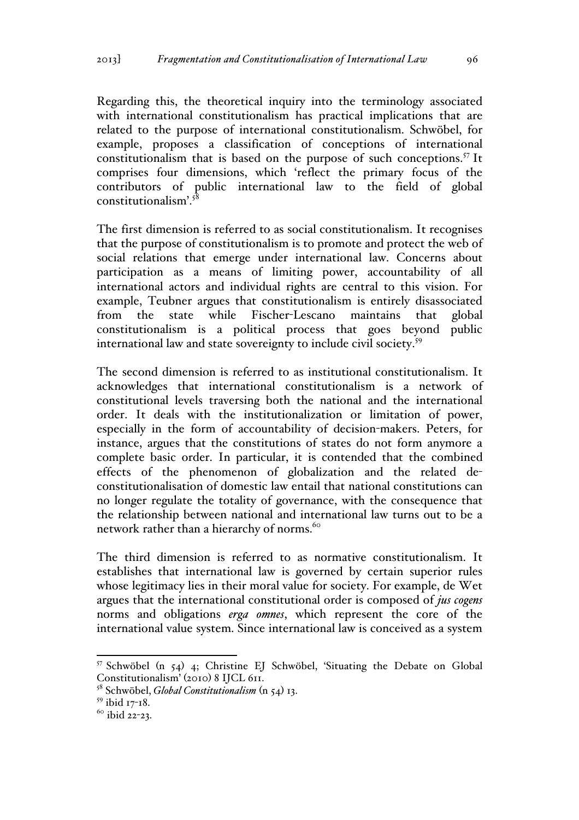Regarding this, the theoretical inquiry into the terminology associated with international constitutionalism has practical implications that are related to the purpose of international constitutionalism. Schwöbel, for example, proposes a classification of conceptions of international constitutionalism that is based on the purpose of such conceptions.<sup>57</sup> It comprises four dimensions, which 'reflect the primary focus of the contributors of public international law to the field of global  $constitutionalism<sup>58</sup>$ 

The first dimension is referred to as social constitutionalism. It recognises that the purpose of constitutionalism is to promote and protect the web of social relations that emerge under international law. Concerns about participation as a means of limiting power, accountability of all international actors and individual rights are central to this vision. For example, Teubner argues that constitutionalism is entirely disassociated from the state while Fischer-Lescano maintains that global constitutionalism is a political process that goes beyond public international law and state sovereignty to include civil society. 59

The second dimension is referred to as institutional constitutionalism. It acknowledges that international constitutionalism is a network of constitutional levels traversing both the national and the international order. It deals with the institutionalization or limitation of power, especially in the form of accountability of decision-makers. Peters, for instance, argues that the constitutions of states do not form anymore a complete basic order. In particular, it is contended that the combined effects of the phenomenon of globalization and the related deconstitutionalisation of domestic law entail that national constitutions can no longer regulate the totality of governance, with the consequence that the relationship between national and international law turns out to be a network rather than a hierarchy of norms.<sup>60</sup>

The third dimension is referred to as normative constitutionalism. It establishes that international law is governed by certain superior rules whose legitimacy lies in their moral value for society. For example, de Wet argues that the international constitutional order is composed of *jus cogens*  norms and obligations *erga omnes*, which represent the core of the international value system. Since international law is conceived as a system

 $57$  Schwöbel (n  $54$ ) 4; Christine EJ Schwöbel, 'Situating the Debate on Global Constitutionalism' (2010) 8 IJCL 611.

<sup>58</sup> Schwöbel, *Global Constitutionalism* (n 54) 13.

<sup>59</sup> ibid 17-18.

 $60$  ibid 22-23.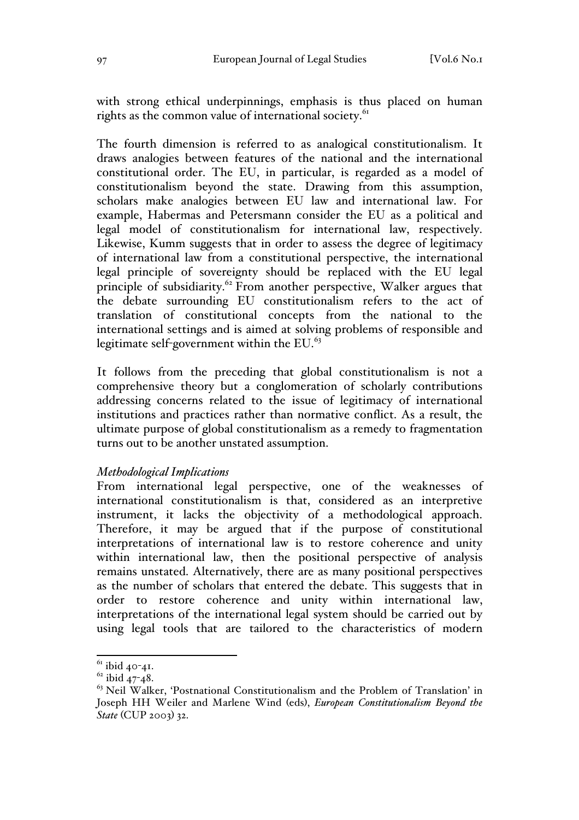with strong ethical underpinnings, emphasis is thus placed on human rights as the common value of international society.<sup>61</sup>

The fourth dimension is referred to as analogical constitutionalism. It draws analogies between features of the national and the international constitutional order. The EU, in particular, is regarded as a model of constitutionalism beyond the state. Drawing from this assumption, scholars make analogies between EU law and international law. For example, Habermas and Petersmann consider the EU as a political and legal model of constitutionalism for international law, respectively. Likewise, Kumm suggests that in order to assess the degree of legitimacy of international law from a constitutional perspective, the international legal principle of sovereignty should be replaced with the EU legal principle of subsidiarity.<sup>62</sup> From another perspective, Walker argues that the debate surrounding EU constitutionalism refers to the act of translation of constitutional concepts from the national to the international settings and is aimed at solving problems of responsible and legitimate self-government within the EU.<sup>63</sup>

It follows from the preceding that global constitutionalism is not a comprehensive theory but a conglomeration of scholarly contributions addressing concerns related to the issue of legitimacy of international institutions and practices rather than normative conflict. As a result, the ultimate purpose of global constitutionalism as a remedy to fragmentation turns out to be another unstated assumption.

#### *Methodological Implications*

From international legal perspective, one of the weaknesses of international constitutionalism is that, considered as an interpretive instrument, it lacks the objectivity of a methodological approach. Therefore, it may be argued that if the purpose of constitutional interpretations of international law is to restore coherence and unity within international law, then the positional perspective of analysis remains unstated. Alternatively, there are as many positional perspectives as the number of scholars that entered the debate. This suggests that in order to restore coherence and unity within international law, interpretations of the international legal system should be carried out by using legal tools that are tailored to the characteristics of modern

 $61$  ibid 40-41.

 $62$  ibid 47-48.

 $63$  Neil Walker, 'Postnational Constitutionalism and the Problem of Translation' in Joseph HH Weiler and Marlene Wind (eds), *European Constitutionalism Beyond the State* (CUP 2003) 32.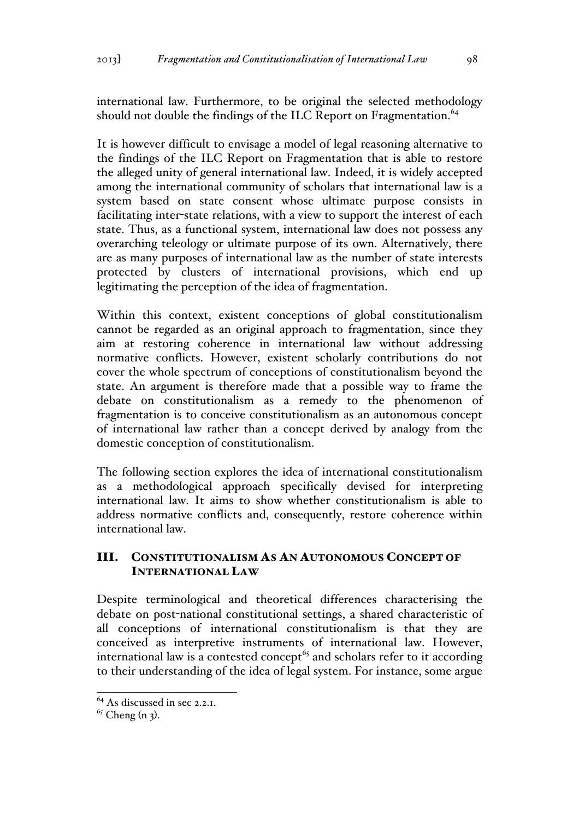international law. Furthermore, to be original the selected methodology should not double the findings of the ILC Report on Fragmentation.<sup>64</sup>

It is however difficult to envisage a model of legal reasoning alternative to the findings of the ILC Report on Fragmentation that is able to restore the alleged unity of general international law. Indeed, it is widely accepted among the international community of scholars that international law is a system based on state consent whose ultimate purpose consists in facilitating inter-state relations, with a view to support the interest of each state. Thus, as a functional system, international law does not possess any overarching teleology or ultimate purpose of its own. Alternatively, there are as many purposes of international law as the number of state interests protected by clusters of international provisions, which end up legitimating the perception of the idea of fragmentation.

Within this context, existent conceptions of global constitutionalism cannot be regarded as an original approach to fragmentation, since they aim at restoring coherence in international law without addressing normative conflicts. However, existent scholarly contributions do not cover the whole spectrum of conceptions of constitutionalism beyond the state. An argument is therefore made that a possible way to frame the debate on constitutionalism as a remedy to the phenomenon of fragmentation is to conceive constitutionalism as an autonomous concept of international law rather than a concept derived by analogy from the domestic conception of constitutionalism.

The following section explores the idea of international constitutionalism as a methodological approach specifically devised for interpreting international law. It aims to show whether constitutionalism is able to address normative conflicts and, consequently, restore coherence within international law.

# III. CONSTITUTIONALISM AS AN AUTONOMOUS CONCEPT OF INTERNATIONAL LAW

Despite terminological and theoretical differences characterising the debate on post-national constitutional settings, a shared characteristic of all conceptions of international constitutionalism is that they are conceived as interpretive instruments of international law. However, international law is a contested concept<sup>65</sup> and scholars refer to it according to their understanding of the idea of legal system. For instance, some argue

<sup>&</sup>lt;sup>64</sup> As discussed in sec 2.2.1.

 $65$  Cheng (n 3).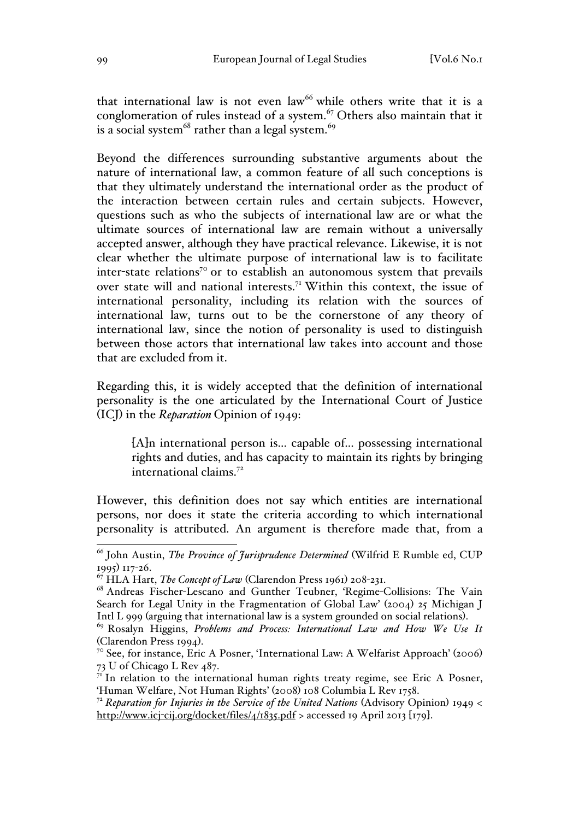that international law is not even  $law<sup>66</sup>$  while others write that it is a conglomeration of rules instead of a system.<sup>67</sup> Others also maintain that it is a social system<sup>68</sup> rather than a legal system.<sup>69</sup>

Beyond the differences surrounding substantive arguments about the nature of international law, a common feature of all such conceptions is that they ultimately understand the international order as the product of the interaction between certain rules and certain subjects. However, questions such as who the subjects of international law are or what the ultimate sources of international law are remain without a universally accepted answer, although they have practical relevance. Likewise, it is not clear whether the ultimate purpose of international law is to facilitate inter-state relations<sup>70</sup> or to establish an autonomous system that prevails over state will and national interests.<sup>71</sup> Within this context, the issue of international personality, including its relation with the sources of international law, turns out to be the cornerstone of any theory of international law, since the notion of personality is used to distinguish between those actors that international law takes into account and those that are excluded from it.

Regarding this, it is widely accepted that the definition of international personality is the one articulated by the International Court of Justice (ICJ) in the *Reparation* Opinion of 1949:

[A]n international person is... capable of... possessing international rights and duties, and has capacity to maintain its rights by bringing international claims.<sup>72</sup>

However, this definition does not say which entities are international persons, nor does it state the criteria according to which international personality is attributed. An argument is therefore made that, from a

 <sup>66</sup> John Austin, *The Province of Jurisprudence Determined* (Wilfrid E Rumble ed, CUP 1995) 117-26.

<sup>67</sup> HLA Hart, *The Concept of Law* (Clarendon Press 1961) 208-231.

<sup>68</sup> Andreas Fischer-Lescano and Gunther Teubner, 'Regime-Collisions: The Vain Search for Legal Unity in the Fragmentation of Global Law' (2004) 25 Michigan J Intl L <sup>999</sup>(arguing that international law is a system grounded on social relations). <sup>69</sup> Rosalyn Higgins, *Problems and Process: International Law and How We Use It*

<sup>(</sup>Clarendon Press 1994).<br><sup>70</sup> See, for instance, Eric A Posner, 'International Law: A Welfarist Approach' (2006)

<sup>73</sup> U of Chicago L Rev 487.

 $7<sup>T</sup>$  In relation to the international human rights treaty regime, see Eric A Posner, 'Human Welfare, Not Human Rights' (2008) 108 Columbia L Rev 1758.

<sup>72</sup> *Reparation for Injuries in the Service of the United Nations* (Advisory Opinion) 1949 < http://www.icj-cij.org/docket/files/4/1835.pdf > accessed 19 April 2013 [179].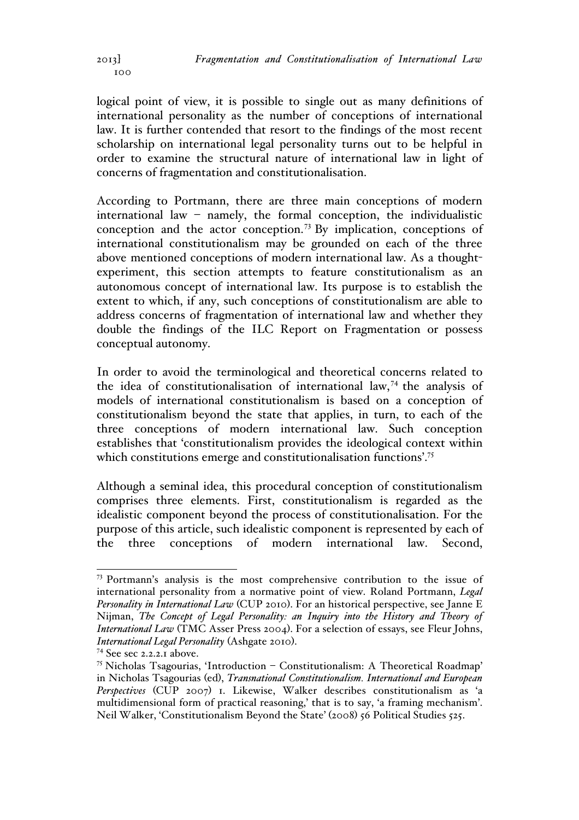logical point of view, it is possible to single out as many definitions of international personality as the number of conceptions of international law. It is further contended that resort to the findings of the most recent scholarship on international legal personality turns out to be helpful in order to examine the structural nature of international law in light of concerns of fragmentation and constitutionalisation.

According to Portmann, there are three main conceptions of modern international law – namely, the formal conception, the individualistic conception and the actor conception.<sup>73</sup> By implication, conceptions of international constitutionalism may be grounded on each of the three above mentioned conceptions of modern international law. As a thoughtexperiment, this section attempts to feature constitutionalism as an autonomous concept of international law. Its purpose is to establish the extent to which, if any, such conceptions of constitutionalism are able to address concerns of fragmentation of international law and whether they double the findings of the ILC Report on Fragmentation or possess conceptual autonomy.

In order to avoid the terminological and theoretical concerns related to the idea of constitutionalisation of international law, <sup>74</sup> the analysis of models of international constitutionalism is based on a conception of constitutionalism beyond the state that applies, in turn, to each of the three conceptions of modern international law. Such conception establishes that 'constitutionalism provides the ideological context within which constitutions emerge and constitutionalisation functions'.<sup>75</sup>

Although a seminal idea, this procedural conception of constitutionalism comprises three elements. First, constitutionalism is regarded as the idealistic component beyond the process of constitutionalisation. For the purpose of this article, such idealistic component is represented by each of the three conceptions of modern international law. Second,

 $100$ 

 <sup>73</sup> Portmann's analysis is the most comprehensive contribution to the issue of international personality from a normative point of view. Roland Portmann, *Legal Personality in International Law* (CUP 2010). For an historical perspective, see Janne E Nijman, *The Concept of Legal Personality: an Inquiry into the History and Theory of International Law* (TMC Asser Press 2004). For a selection of essays, see Fleur Johns, *International Legal Personality* (Ashgate 2010).<br><sup>74</sup> See sec 2.2.2.1 above.

<sup>&</sup>lt;sup>75</sup> Nicholas Tsagourias, 'Introduction – Constitutionalism: A Theoretical Roadmap' in Nicholas Tsagourias (ed), *Transnational Constitutionalism. International and European Perspectives* (CUP 2007) 1. Likewise, Walker describes constitutionalism as 'a multidimensional form of practical reasoning,' that is to say, 'a framing mechanism'. Neil Walker, 'Constitutionalism Beyond the State' (2008) 56 Political Studies 525.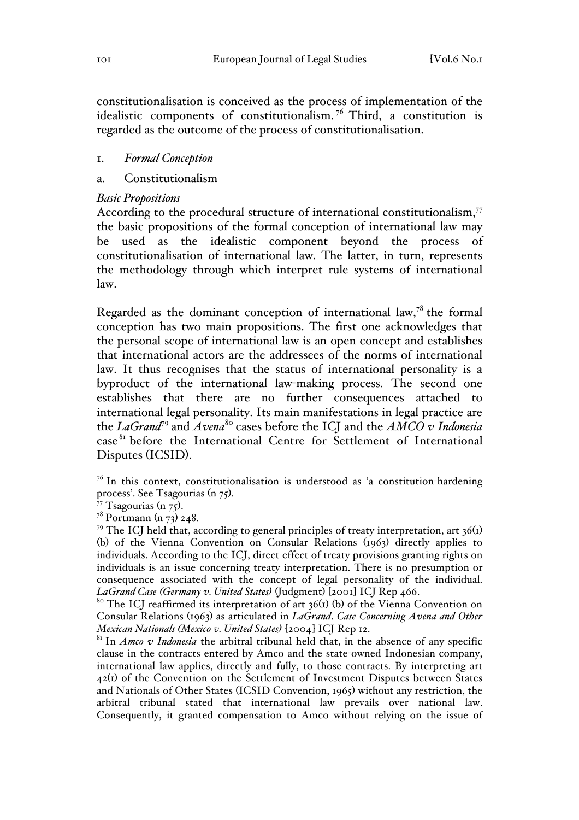constitutionalisation is conceived as the process of implementation of the idealistic components of constitutionalism. <sup>76</sup> Third, a constitution is regarded as the outcome of the process of constitutionalisation.

#### 1. *Formal Conception*

### a. Constitutionalism

#### *Basic Propositions*

According to the procedural structure of international constitutionalism, $77$ the basic propositions of the formal conception of international law may be used as the idealistic component beyond the process of constitutionalisation of international law. The latter, in turn, represents the methodology through which interpret rule systems of international law.

Regarded as the dominant conception of international law,<sup>78</sup> the formal conception has two main propositions. The first one acknowledges that the personal scope of international law is an open concept and establishes that international actors are the addressees of the norms of international law. It thus recognises that the status of international personality is a byproduct of the international law-making process. The second one establishes that there are no further consequences attached to international legal personality. Its main manifestations in legal practice are the *LaGrand*<sup>79</sup> and *Avena*<sup>80</sup> cases before the ICJ and the *AMCO v Indonesia*  case<sup>81</sup> before the International Centre for Settlement of International Disputes (ICSID).

 $7<sup>6</sup>$  In this context, constitutionalisation is understood as 'a constitution-hardening process'. See Tsagourias (n 75).<br><sup>77</sup> Tsagourias (n 75).<br><sup>78</sup> Portmann (n 73) 248.

<sup>&</sup>lt;sup>79</sup> The ICJ held that, according to general principles of treaty interpretation, art  $36<sup>(1)</sup>$ (b) of the Vienna Convention on Consular Relations (1963) directly applies to individuals. According to the ICJ, direct effect of treaty provisions granting rights on individuals is an issue concerning treaty interpretation. There is no presumption or consequence associated with the concept of legal personality of the individual. *LaGrand Case (Germany v. United States)* (Judgment) [2001] ICJ Rep 466.

<sup>&</sup>lt;sup>80</sup> The ICJ reaffirmed its interpretation of art  $36<sup>(1)</sup>$  (b) of the Vienna Convention on Consular Relations (1963) as articulated in *LaGrand*. *Case Concerning Avena and Other Mexican Nationals (Mexico v. United States)* [2004] ICJ Rep 12.

<sup>&</sup>lt;sup>81</sup> In *Amco v Indonesia* the arbitral tribunal held that, in the absence of any specific clause in the contracts entered by Amco and the state-owned Indonesian company, international law applies, directly and fully, to those contracts. By interpreting art 42(1) of the Convention on the Settlement of Investment Disputes between States and Nationals of Other States (ICSID Convention, 1965) without any restriction, the arbitral tribunal stated that international law prevails over national law. Consequently, it granted compensation to Amco without relying on the issue of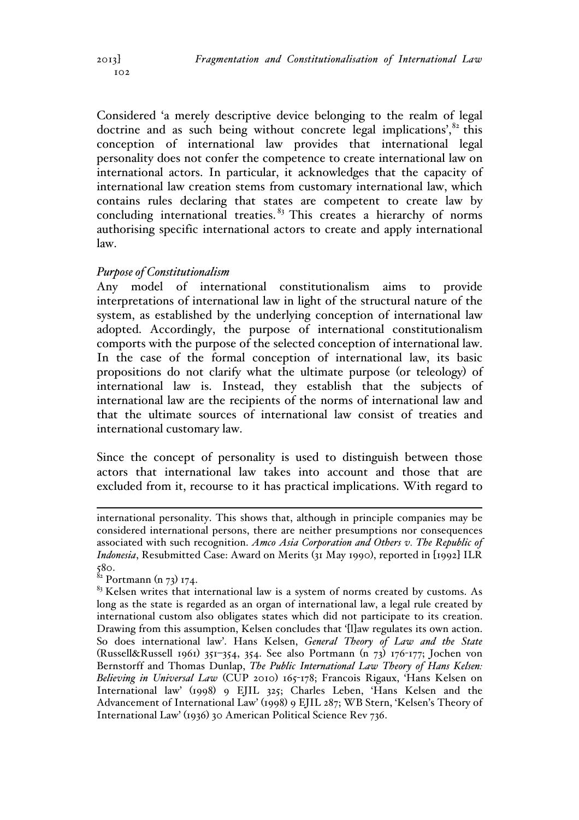$102$ 

Considered 'a merely descriptive device belonging to the realm of legal doctrine and as such being without concrete legal implications', $82$  this conception of international law provides that international legal personality does not confer the competence to create international law on international actors. In particular, it acknowledges that the capacity of international law creation stems from customary international law, which contains rules declaring that states are competent to create law by concluding international treaties.  $83$  This creates a hierarchy of norms authorising specific international actors to create and apply international law.

# *Purpose of Constitutionalism*

Any model of international constitutionalism aims to provide interpretations of international law in light of the structural nature of the system, as established by the underlying conception of international law adopted. Accordingly, the purpose of international constitutionalism comports with the purpose of the selected conception of international law. In the case of the formal conception of international law, its basic propositions do not clarify what the ultimate purpose (or teleology) of international law is. Instead, they establish that the subjects of international law are the recipients of the norms of international law and that the ultimate sources of international law consist of treaties and international customary law.

Since the concept of personality is used to distinguish between those actors that international law takes into account and those that are excluded from it, recourse to it has practical implications. With regard to

international personality. This shows that, although in principle companies may be considered international persons, there are neither presumptions nor consequences associated with such recognition. *Amco Asia Corporation and Others v. The Republic of Indonesia*, Resubmitted Case: Award on Merits (31 May 1990), reported in [1992] ILR 580.

 $82$  Portmann (n 73) 174.

 $83$  Kelsen writes that international law is a system of norms created by customs. As long as the state is regarded as an organ of international law, a legal rule created by international custom also obligates states which did not participate to its creation. Drawing from this assumption, Kelsen concludes that '[l]aw regulates its own action. So does international law'. Hans Kelsen, *General Theory of Law and the State* (Russell&Russell 1961) 351–354, 354. See also Portmann (n 73) 176-177; Jochen von Bernstorff and Thomas Dunlap, *The Public International Law Theory of Hans Kelsen: Believing in Universal Law* (CUP 2010) 165-178; Francois Rigaux, 'Hans Kelsen on International law' (1998) 9 EJIL 325; Charles Leben, 'Hans Kelsen and the Advancement of International Law' (1998) 9 EJIL 287; WB Stern, 'Kelsen's Theory of International Law' (1936) 30 American Political Science Rev 736.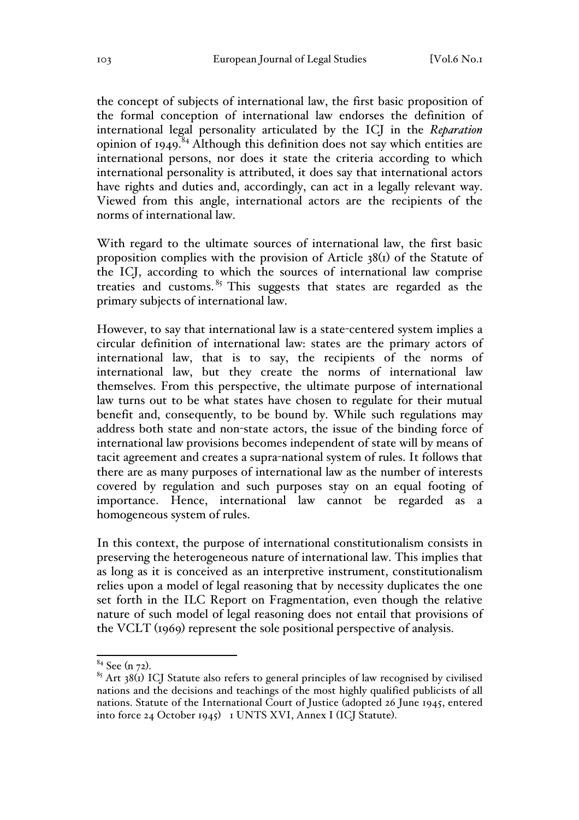the concept of subjects of international law, the first basic proposition of the formal conception of international law endorses the definition of international legal personality articulated by the ICJ in the *Reparation*  opinion of  $1949$ .<sup>84</sup> Although this definition does not say which entities are international persons, nor does it state the criteria according to which international personality is attributed, it does say that international actors have rights and duties and, accordingly, can act in a legally relevant way. Viewed from this angle, international actors are the recipients of the norms of international law.

With regard to the ultimate sources of international law, the first basic proposition complies with the provision of Article 38(1) of the Statute of the ICJ, according to which the sources of international law comprise treaties and customs.  $85$  This suggests that states are regarded as the primary subjects of international law.

However, to say that international law is a state-centered system implies a circular definition of international law: states are the primary actors of international law, that is to say, the recipients of the norms of international law, but they create the norms of international law themselves. From this perspective, the ultimate purpose of international law turns out to be what states have chosen to regulate for their mutual benefit and, consequently, to be bound by. While such regulations may address both state and non-state actors, the issue of the binding force of international law provisions becomes independent of state will by means of tacit agreement and creates a supra-national system of rules. It follows that there are as many purposes of international law as the number of interests covered by regulation and such purposes stay on an equal footing of importance. Hence, international law cannot be regarded as a homogeneous system of rules.

In this context, the purpose of international constitutionalism consists in preserving the heterogeneous nature of international law. This implies that as long as it is conceived as an interpretive instrument, constitutionalism relies upon a model of legal reasoning that by necessity duplicates the one set forth in the ILC Report on Fragmentation, even though the relative nature of such model of legal reasoning does not entail that provisions of the VCLT (1969) represent the sole positional perspective of analysis.

<sup>&</sup>lt;sup>84</sup> See (n 72).<br><sup>85</sup> Art 38(1) ICJ Statute also refers to general principles of law recognised by civilised nations and the decisions and teachings of the most highly qualified publicists of all nations. Statute of the International Court of Justice (adopted 26 June 1945, entered into force 24 October 1945) 1 UNTS XVI, Annex I (ICJ Statute).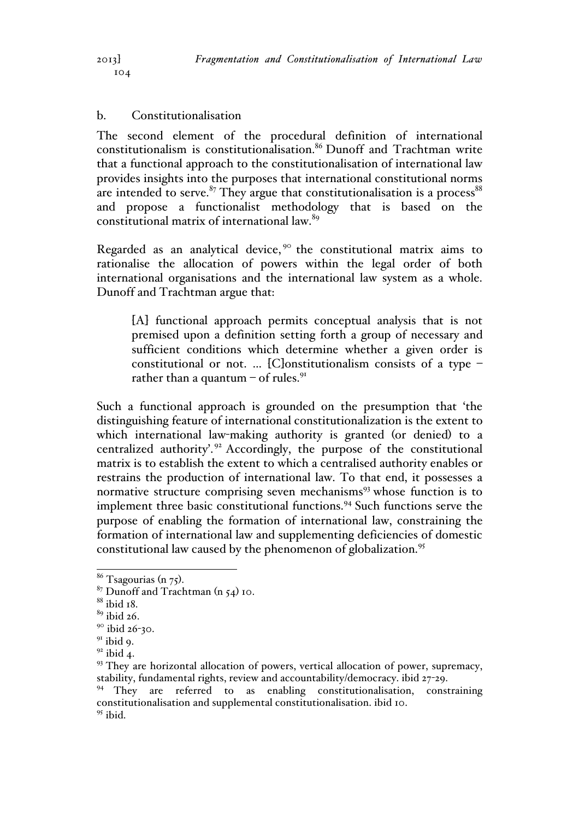### b. Constitutionalisation

The second element of the procedural definition of international constitutionalism is constitutionalisation.<sup>86</sup> Dunoff and Trachtman write that a functional approach to the constitutionalisation of international law provides insights into the purposes that international constitutional norms are intended to serve. $87$  They argue that constitutionalisation is a process  $88$ and propose a functionalist methodology that is based on the constitutional matrix of international law.<sup>89</sup>

Regarded as an analytical device,  $9^\circ$  the constitutional matrix aims to rationalise the allocation of powers within the legal order of both international organisations and the international law system as a whole. Dunoff and Trachtman argue that:

[A] functional approach permits conceptual analysis that is not premised upon a definition setting forth a group of necessary and sufficient conditions which determine whether a given order is constitutional or not. ... [C]onstitutionalism consists of a type  $$ rather than a quantum  $-$  of rules.<sup>91</sup>

Such a functional approach is grounded on the presumption that 'the distinguishing feature of international constitutionalization is the extent to which international law-making authority is granted (or denied) to a centralized authority'.<sup>92</sup> Accordingly, the purpose of the constitutional matrix is to establish the extent to which a centralised authority enables or restrains the production of international law. To that end, it possesses a normative structure comprising seven mechanisms<sup>93</sup> whose function is to implement three basic constitutional functions.<sup>94</sup> Such functions serve the purpose of enabling the formation of international law, constraining the formation of international law and supplementing deficiencies of domestic constitutional law caused by the phenomenon of globalization.<sup>95</sup>

<sup>&</sup>lt;sup>86</sup> Tsagourias (n 75).<br><sup>87</sup> Dunoff and Trachtman (n 54) 10.

 $88$  ibid  $18$ .

<sup>89</sup> ibid 26.

<sup>&</sup>lt;sup>90</sup> ibid 26-30.

 $91$  ibid 9.

 $92$  ibid 4.

 $93$  They are horizontal allocation of powers, vertical allocation of power, supremacy, stability, fundamental rights, review and accountability/democracy. ibid 27-29.

 $94$  They are referred to as enabling constitutionalisation, constraining constitutionalisation and supplemental constitutionalisation. ibid 10.  $95$  ibid.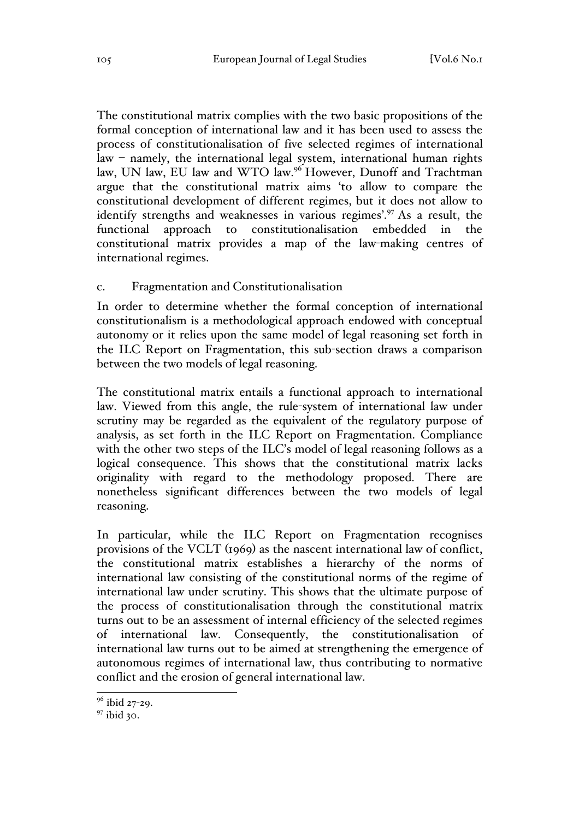The constitutional matrix complies with the two basic propositions of the formal conception of international law and it has been used to assess the process of constitutionalisation of five selected regimes of international law – namely, the international legal system, international human rights law, UN law, EU law and WTO law.<sup>96</sup> However, Dunoff and Trachtman argue that the constitutional matrix aims 'to allow to compare the constitutional development of different regimes, but it does not allow to identify strengths and weaknesses in various regimes'.<sup>97</sup> As a result, the functional approach to constitutionalisation embedded in the constitutional matrix provides a map of the law-making centres of international regimes.

### c. Fragmentation and Constitutionalisation

In order to determine whether the formal conception of international constitutionalism is a methodological approach endowed with conceptual autonomy or it relies upon the same model of legal reasoning set forth in the ILC Report on Fragmentation, this sub-section draws a comparison between the two models of legal reasoning.

The constitutional matrix entails a functional approach to international law. Viewed from this angle, the rule-system of international law under scrutiny may be regarded as the equivalent of the regulatory purpose of analysis, as set forth in the ILC Report on Fragmentation. Compliance with the other two steps of the ILC's model of legal reasoning follows as a logical consequence. This shows that the constitutional matrix lacks originality with regard to the methodology proposed. There are nonetheless significant differences between the two models of legal reasoning.

In particular, while the ILC Report on Fragmentation recognises provisions of the VCLT (1969) as the nascent international law of conflict, the constitutional matrix establishes a hierarchy of the norms of international law consisting of the constitutional norms of the regime of international law under scrutiny. This shows that the ultimate purpose of the process of constitutionalisation through the constitutional matrix turns out to be an assessment of internal efficiency of the selected regimes of international law. Consequently, the constitutionalisation of international law turns out to be aimed at strengthening the emergence of autonomous regimes of international law, thus contributing to normative conflict and the erosion of general international law.

<sup>&</sup>lt;sup>96</sup> ibid 27-29.

<sup>&</sup>lt;sup>97</sup> ibid 30.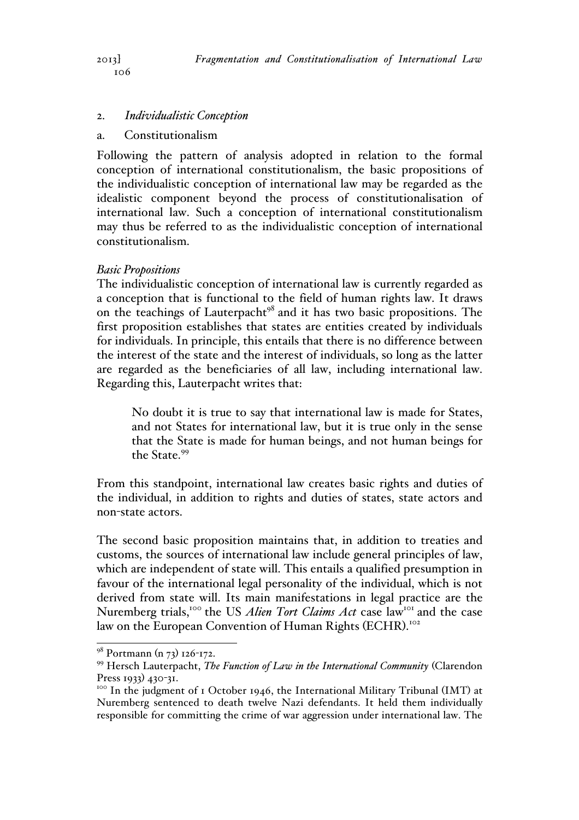## 2. *Individualistic Conception*

#### a. Constitutionalism

Following the pattern of analysis adopted in relation to the formal conception of international constitutionalism, the basic propositions of the individualistic conception of international law may be regarded as the idealistic component beyond the process of constitutionalisation of international law. Such a conception of international constitutionalism may thus be referred to as the individualistic conception of international constitutionalism.

#### *Basic Propositions*

The individualistic conception of international law is currently regarded as a conception that is functional to the field of human rights law. It draws on the teachings of Lauterpacht<sup>98</sup> and it has two basic propositions. The first proposition establishes that states are entities created by individuals for individuals. In principle, this entails that there is no difference between the interest of the state and the interest of individuals, so long as the latter are regarded as the beneficiaries of all law, including international law. Regarding this, Lauterpacht writes that:

No doubt it is true to say that international law is made for States, and not States for international law, but it is true only in the sense that the State is made for human beings, and not human beings for the State<sup>99</sup>

From this standpoint, international law creates basic rights and duties of the individual, in addition to rights and duties of states, state actors and non-state actors.

The second basic proposition maintains that, in addition to treaties and customs, the sources of international law include general principles of law, which are independent of state will. This entails a qualified presumption in favour of the international legal personality of the individual, which is not derived from state will. Its main manifestations in legal practice are the Nuremberg trials,<sup>100</sup> the US *Alien Tort Claims Act* case law<sup>101</sup> and the case law on the European Convention of Human Rights (ECHR). 102

<sup>&</sup>lt;sup>98</sup> Portmann (n 73) 126-172.

<sup>99</sup> Hersch Lauterpacht, *The Function of Law in the International Community* (Clarendon

Press 1933) 430-31.<br><sup>100</sup> In the judgment of 1 October 1946, the International Military Tribunal (IMT) at Nuremberg sentenced to death twelve Nazi defendants. It held them individually responsible for committing the crime of war aggression under international law. The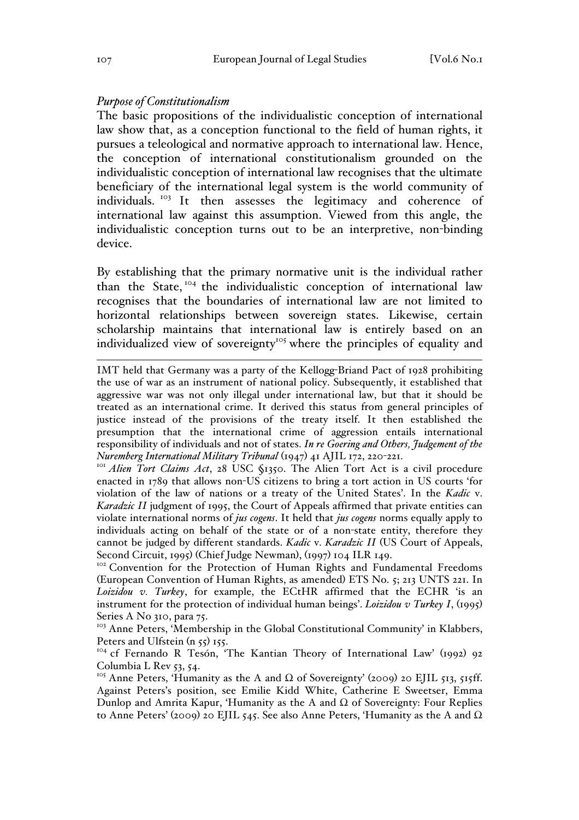#### *Purpose of Constitutionalism*

The basic propositions of the individualistic conception of international law show that, as a conception functional to the field of human rights, it pursues a teleological and normative approach to international law. Hence, the conception of international constitutionalism grounded on the individualistic conception of international law recognises that the ultimate beneficiary of the international legal system is the world community of individuals. <sup>103</sup> It then assesses the legitimacy and coherence of international law against this assumption. Viewed from this angle, the individualistic conception turns out to be an interpretive, non-binding device.

By establishing that the primary normative unit is the individual rather than the State, <sup>104</sup> the individualistic conception of international law recognises that the boundaries of international law are not limited to horizontal relationships between sovereign states. Likewise, certain scholarship maintains that international law is entirely based on an individualized view of sovereignty<sup>105</sup> where the principles of equality and

enacted in 1789 that allows non-US citizens to bring a tort action in US courts 'for violation of the law of nations or a treaty of the United States'. In the *Kadic* v. *Karadzic II* judgment of 1995, the Court of Appeals affirmed that private entities can violate international norms of *jus cogens*. It held that *jus cogens* norms equally apply to individuals acting on behalf of the state or of a non-state entity, therefore they cannot be judged by different standards. *Kadic* v. *Karadzic II* (US Court of Appeals, Second Circuit, 1995) (Chief Judge Newman), (1997) 104 ILR 149.<br><sup>102</sup> Convention for the Protection of Human Rights and Fundamental Freedoms

(European Convention of Human Rights, as amended) ETS No. 5; 213 UNTS 221. In *Loizidou v. Turkey*, for example, the ECtHR affirmed that the ECHR 'is an instrument for the protection of individual human beings'. *Loizidou v Turkey I*, (1995) Series A No 310, para 75.

<sup>103</sup> Anne Peters, 'Membership in the Global Constitutional Community' in Klabbers, Peters and Ulfstein  $(n, 55)$  155.

<sup>104</sup> cf Fernando R Tesón, 'The Kantian Theory of International Law' (1992) 92 Columbia L Rev 53, 54.

<sup>105</sup> Anne Peters, 'Humanity as the A and  $\Omega$  of Sovereignty' (2009) 20 EJIL 513, 515ff. Against Peters's position, see Emilie Kidd White, Catherine E Sweetser, Emma Dunlop and Amrita Kapur, 'Humanity as the A and  $Ω$  of Sovereignty: Four Replies to Anne Peters' (2009) 20 EJIL 545. See also Anne Peters, 'Humanity as the A and  $\Omega$ 

IMT held that Germany was a party of the Kellogg-Briand Pact of 1928 prohibiting the use of war as an instrument of national policy. Subsequently, it established that aggressive war was not only illegal under international law, but that it should be treated as an international crime. It derived this status from general principles of justice instead of the provisions of the treaty itself. It then established the presumption that the international crime of aggression entails international responsibility of individuals and not of states. *In re Goering and Others, Judgement of the Nuremberg International Military Tribunal* (1947) 41 AJIL 172, 220-221.<br><sup>101</sup> *Alien Tort Claims Act*, 28 USC §1350. The Alien Tort Act is a civil procedure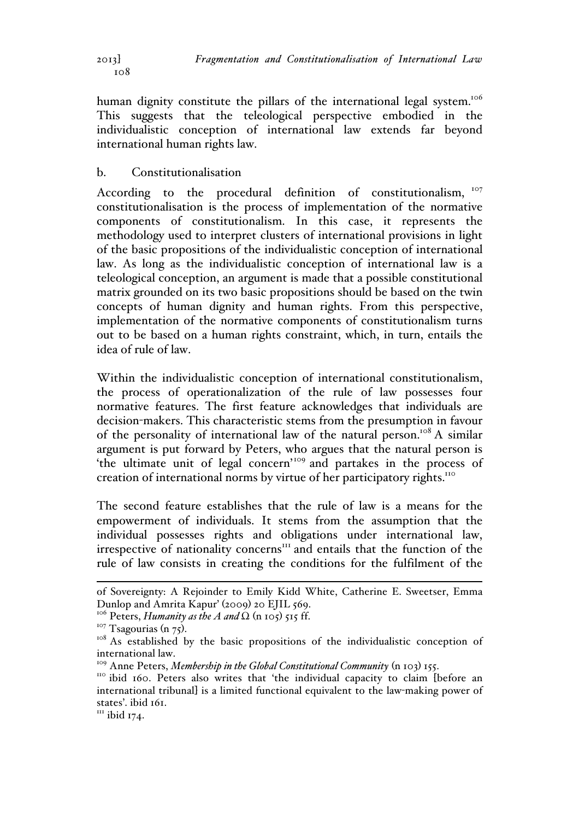human dignity constitute the pillars of the international legal system.<sup>106</sup> This suggests that the teleological perspective embodied in the individualistic conception of international law extends far beyond international human rights law.

# b. Constitutionalisation

According to the procedural definition of constitutionalism, 107 constitutionalisation is the process of implementation of the normative components of constitutionalism. In this case, it represents the methodology used to interpret clusters of international provisions in light of the basic propositions of the individualistic conception of international law. As long as the individualistic conception of international law is a teleological conception, an argument is made that a possible constitutional matrix grounded on its two basic propositions should be based on the twin concepts of human dignity and human rights. From this perspective, implementation of the normative components of constitutionalism turns out to be based on a human rights constraint, which, in turn, entails the idea of rule of law.

Within the individualistic conception of international constitutionalism, the process of operationalization of the rule of law possesses four normative features. The first feature acknowledges that individuals are decision-makers. This characteristic stems from the presumption in favour of the personality of international law of the natural person.<sup>108</sup> A similar argument is put forward by Peters, who argues that the natural person is 'the ultimate unit of legal concern'<sup>109</sup> and partakes in the process of creation of international norms by virtue of her participatory rights.<sup>110</sup>

The second feature establishes that the rule of law is a means for the empowerment of individuals. It stems from the assumption that the individual possesses rights and obligations under international law, irrespective of nationality concerns<sup>111</sup> and entails that the function of the rule of law consists in creating the conditions for the fulfilment of the

<sup>111</sup> ibid 174.

of Sovereignty: A Rejoinder to Emily Kidd White, Catherine E. Sweetser, Emma Dunlop and Amrita Kapur' (2009) 20 EJIL 569.

<sup>&</sup>lt;sup>106</sup> Peters, *Humanity as the A and*  $\Omega$  (n 105) 515 ff.<br><sup>107</sup> Tsagourias (n 75).

<sup>&</sup>lt;sup>108</sup> As established by the basic propositions of the individualistic conception of international law.<br><sup>109</sup> Anne Peters, *Membership in the Global Constitutional Community* (n 103) 155.

<sup>&</sup>lt;sup>110</sup> ibid 160. Peters also writes that 'the individual capacity to claim [before an international tribunal] is a limited functional equivalent to the law-making power of states'. ibid 161.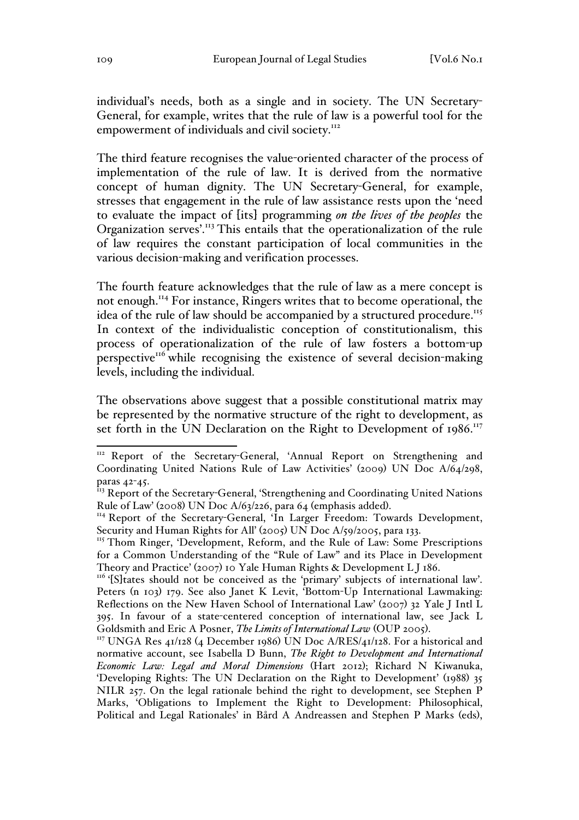individual's needs, both as a single and in society. The UN Secretary-General, for example, writes that the rule of law is a powerful tool for the empowerment of individuals and civil society.<sup>112</sup>

The third feature recognises the value-oriented character of the process of implementation of the rule of law. It is derived from the normative concept of human dignity. The UN Secretary-General, for example, stresses that engagement in the rule of law assistance rests upon the 'need to evaluate the impact of [its] programming *on the lives of the peoples* the Organization serves'.<sup>113</sup> This entails that the operationalization of the rule of law requires the constant participation of local communities in the various decision-making and verification processes.

The fourth feature acknowledges that the rule of law as a mere concept is not enough.<sup>114</sup> For instance, Ringers writes that to become operational, the idea of the rule of law should be accompanied by a structured procedure.<sup>115</sup> In context of the individualistic conception of constitutionalism, this process of operationalization of the rule of law fosters a bottom-up perspective<sup>116</sup> while recognising the existence of several decision-making levels, including the individual.

The observations above suggest that a possible constitutional matrix may be represented by the normative structure of the right to development, as set forth in the UN Declaration on the Right to Development of 1986.<sup>117</sup>

<sup>&</sup>lt;sup>112</sup> Report of the Secretary-General, 'Annual Report on Strengthening and Coordinating United Nations Rule of Law Activities' (2009) UN Doc A/64/298, paras 42-45.

<sup>&</sup>lt;sup>113</sup> Report of the Secretary-General, 'Strengthening and Coordinating United Nations Rule of Law' (2008) UN Doc A/63/226, para 64 (emphasis added).<br><sup>114</sup> Report of the Secretary-General, 'In Larger Freedom: Towards Development,

Security and Human Rights for All' (2005) UN Doc A/59/2005, para 133.

<sup>&</sup>lt;sup>115</sup> Thom Ringer, 'Development, Reform, and the Rule of Law: Some Prescriptions for a Common Understanding of the "Rule of Law" and its Place in Development

Theory and Practice' (2007) 10 Yale Human Rights & Development L J 186.<br><sup>116</sup> '[S]tates should not be conceived as the 'primary' subjects of international law'. Peters (n 103) 179. See also Janet K Levit, 'Bottom-Up International Lawmaking: Reflections on the New Haven School of International Law' (2007) 32 Yale J Intl L 395. In favour of a state-centered conception of international law, see Jack L Goldsmith and Eric A Posner, *The Limits of International Law* (OUP 2005).<br><sup>117</sup> UNGA Res 41/128 (4 December 1986) UN Doc A/RES/41/128. For a historical and

normative account, see Isabella D Bunn, *The Right to Development and International Economic Law: Legal and Moral Dimensions* (Hart 2012); Richard N Kiwanuka, 'Developing Rights: The UN Declaration on the Right to Development' (1988) 35 NILR 257. On the legal rationale behind the right to development, see Stephen P Marks, 'Obligations to Implement the Right to Development: Philosophical, Political and Legal Rationales' in Bård A Andreassen and Stephen P Marks (eds),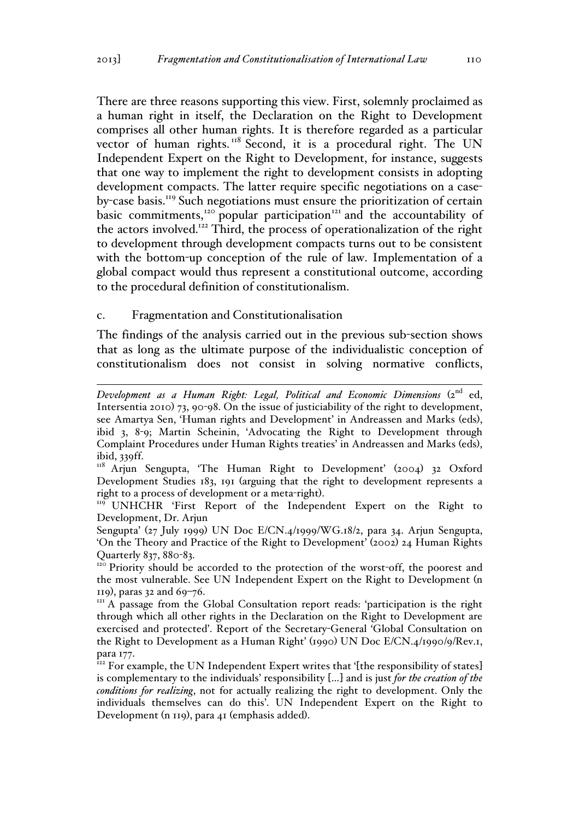There are three reasons supporting this view. First, solemnly proclaimed as a human right in itself, the Declaration on the Right to Development comprises all other human rights. It is therefore regarded as a particular vector of human rights.<sup>118</sup> Second, it is a procedural right. The UN Independent Expert on the Right to Development, for instance, suggests that one way to implement the right to development consists in adopting development compacts. The latter require specific negotiations on a caseby-case basis.<sup>119</sup> Such negotiations must ensure the prioritization of certain basic commitments,<sup>120</sup> popular participation<sup>121</sup> and the accountability of the actors involved.<sup>122</sup> Third, the process of operationalization of the right to development through development compacts turns out to be consistent with the bottom-up conception of the rule of law. Implementation of a global compact would thus represent a constitutional outcome, according to the procedural definition of constitutionalism.

### c. Fragmentation and Constitutionalisation

The findings of the analysis carried out in the previous sub-section shows that as long as the ultimate purpose of the individualistic conception of constitutionalism does not consist in solving normative conflicts,

Development as a Human Right: Legal, Political and Economic Dimensions (2<sup>nd</sup> ed, Intersentia 2010) 73, 90-98. On the issue of justiciability of the right to development, see Amartya Sen, 'Human rights and Development' in Andreassen and Marks (eds), ibid 3, 8-9; Martin Scheinin, 'Advocating the Right to Development through Complaint Procedures under Human Rights treaties' in Andreassen and Marks (eds), ibid, 339ff.

<sup>&</sup>lt;sup>118</sup> Arjun Sengupta, 'The Human Right to Development' (2004) 32 Oxford Development Studies 183, 191 (arguing that the right to development represents a right to a process of development or a meta-right). 119 UNHCHR 'First Report of the Independent Expert on the Right to

Development, Dr. Arjun

Sengupta' (27 July 1999) UN Doc E/CN.4/1999/WG.18/2, para 34. Arjun Sengupta, 'On the Theory and Practice of the Right to Development' (2002) 24 Human Rights Quarterly 837, 880-83.<br><sup>120</sup> Priority should be accorded to the protection of the worst-off, the poorest and

the most vulnerable. See UN Independent Expert on the Right to Development (n <sup>119</sup>), paras 32 and 69–76. 121 A passage from the Global Consultation report reads: 'participation is the right

through which all other rights in the Declaration on the Right to Development are exercised and protected'. Report of the Secretary-General 'Global Consultation on the Right to Development as a Human Right' (1990) UN Doc E/CN.4/1990/9/Rev.1, para 177.

 $^{722}$  For example, the UN Independent Expert writes that '[the responsibility of states] is complementary to the individuals' responsibility […] and is just *for the creation of the conditions for realizing*, not for actually realizing the right to development. Only the individuals themselves can do this'. UN Independent Expert on the Right to Development (n 119), para 41 (emphasis added).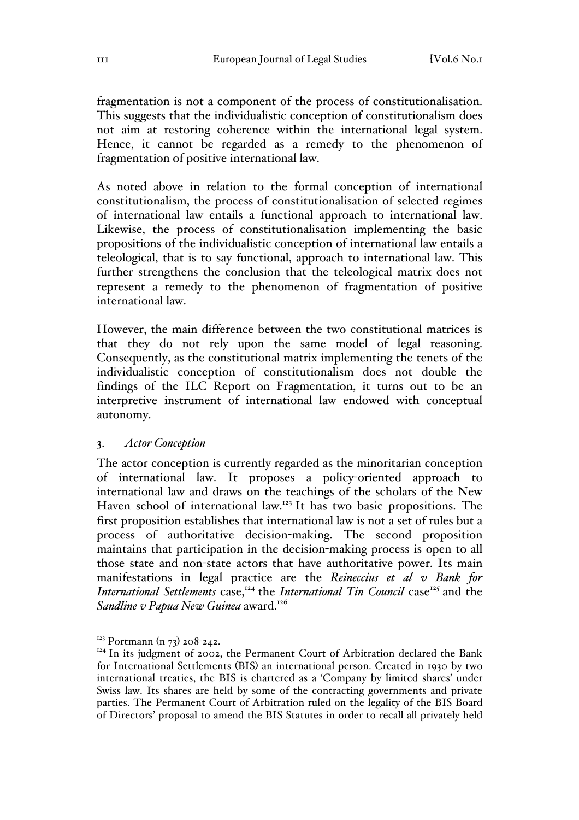fragmentation is not a component of the process of constitutionalisation. This suggests that the individualistic conception of constitutionalism does not aim at restoring coherence within the international legal system. Hence, it cannot be regarded as a remedy to the phenomenon of fragmentation of positive international law.

As noted above in relation to the formal conception of international constitutionalism, the process of constitutionalisation of selected regimes of international law entails a functional approach to international law. Likewise, the process of constitutionalisation implementing the basic propositions of the individualistic conception of international law entails a teleological, that is to say functional, approach to international law. This further strengthens the conclusion that the teleological matrix does not represent a remedy to the phenomenon of fragmentation of positive international law.

However, the main difference between the two constitutional matrices is that they do not rely upon the same model of legal reasoning. Consequently, as the constitutional matrix implementing the tenets of the individualistic conception of constitutionalism does not double the findings of the ILC Report on Fragmentation, it turns out to be an interpretive instrument of international law endowed with conceptual autonomy.

## 3. *Actor Conception*

The actor conception is currently regarded as the minoritarian conception of international law. It proposes a policy-oriented approach to international law and draws on the teachings of the scholars of the New Haven school of international law.<sup>123</sup> It has two basic propositions. The first proposition establishes that international law is not a set of rules but a process of authoritative decision-making. The second proposition maintains that participation in the decision-making process is open to all those state and non-state actors that have authoritative power. Its main manifestations in legal practice are the *Reineccius et al v Bank for International Settlements* case,<sup>124</sup> the *International Tin Council* case<sup>125</sup> and the *Sandline v Papua New Guinea* award.<sup>126</sup>

 $123$  Portmann (n 73) 208-242.

 $124$  In its judgment of 2002, the Permanent Court of Arbitration declared the Bank for International Settlements (BIS) an international person. Created in 1930 by two international treaties, the BIS is chartered as a 'Company by limited shares' under Swiss law. Its shares are held by some of the contracting governments and private parties. The Permanent Court of Arbitration ruled on the legality of the BIS Board of Directors' proposal to amend the BIS Statutes in order to recall all privately held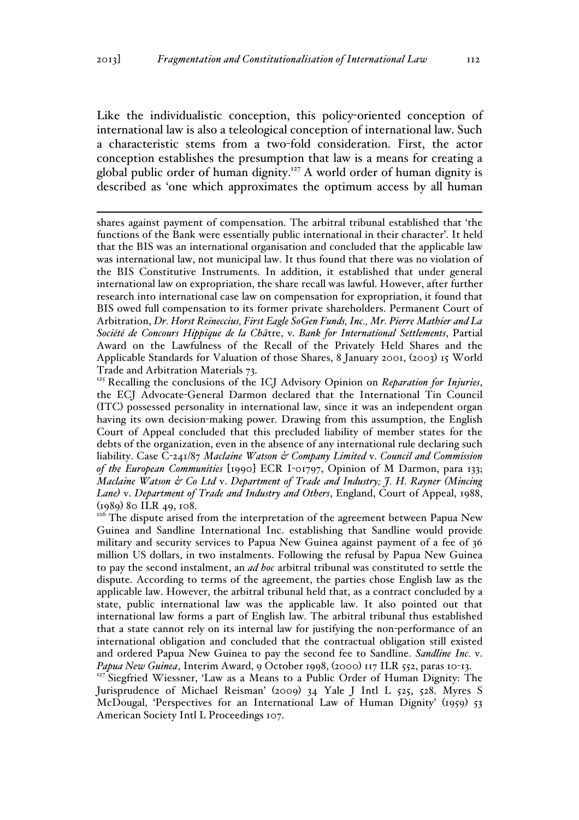Like the individualistic conception, this policy-oriented conception of international law is also a teleological conception of international law. Such a characteristic stems from a two-fold consideration. First, the actor conception establishes the presumption that law is a means for creating a global public order of human dignity.<sup>127</sup> A world order of human dignity is described as 'one which approximates the optimum access by all human

 shares against payment of compensation. The arbitral tribunal established that 'the functions of the Bank were essentially public international in their character'. It held that the BIS was an international organisation and concluded that the applicable law was international law, not municipal law. It thus found that there was no violation of the BIS Constitutive Instruments. In addition, it established that under general international law on expropriation, the share recall was lawful. However, after further research into international case law on compensation for expropriation, it found that BIS owed full compensation to its former private shareholders. Permanent Court of Arbitration, *Dr. Horst Reineccius, First Eagle SoGen Funds, Inc., Mr. Pierre Mathier and La Société de Concours Hippique de la Châ*tre, v. *Bank for International Settlements*, Partial Award on the Lawfulness of the Recall of the Privately Held Shares and the Applicable Standards for Valuation of those Shares, 8 January 2001, (2003) 15 World Trade and Arbitration Materials 73.

<sup>125</sup> Recalling the conclusions of the ICJ Advisory Opinion on *Reparation for Injuries*, the ECJ Advocate-General Darmon declared that the International Tin Council (ITC) possessed personality in international law, since it was an independent organ having its own decision-making power. Drawing from this assumption, the English Court of Appeal concluded that this precluded liability of member states for the debts of the organization, even in the absence of any international rule declaring such liability. Case C-241/87 *Maclaine Watson & Company Limited* v. *Council and Commission of the European Communities* [1990] ECR I-01797, Opinion of M Darmon, para 133; *Maclaine Watson & Co Ltd* v. *Department of Trade and Industry; J. H. Rayner (Mincing Lane)* v. *Department of Trade and Industry and Others*, England, Court of Appeal, 1988, (1989) 80 ILR 49, 108.

<sup>126</sup> The dispute arised from the interpretation of the agreement between Papua New Guinea and Sandline International Inc. establishing that Sandline would provide military and security services to Papua New Guinea against payment of a fee of 36 million US dollars, in two instalments. Following the refusal by Papua New Guinea to pay the second instalment, an *ad hoc* arbitral tribunal was constituted to settle the dispute. According to terms of the agreement, the parties chose English law as the applicable law. However, the arbitral tribunal held that, as a contract concluded by a state, public international law was the applicable law. It also pointed out that international law forms a part of English law. The arbitral tribunal thus established that a state cannot rely on its internal law for justifying the non-performance of an international obligation and concluded that the contractual obligation still existed and ordered Papua New Guinea to pay the second fee to Sandline. *Sandline Inc.* v. *Papua New Guinea*, Interim Award, 9 October 1998, (2000) 117 ILR 552, paras 10-13.

<sup>127</sup> Siegfried Wiessner, 'Law as a Means to a Public Order of Human Dignity: The Jurisprudence of Michael Reisman' (2009) 34 Yale J Intl L 525, 528. Myres S McDougal, 'Perspectives for an International Law of Human Dignity' (1959) 53 American Society Intl L Proceedings 107.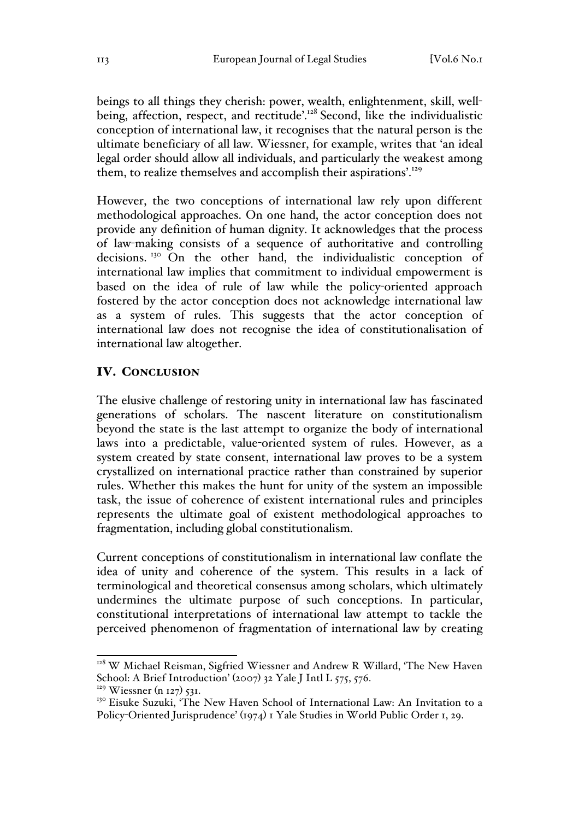beings to all things they cherish: power, wealth, enlightenment, skill, wellbeing, affection, respect, and rectitude<sup>'.128</sup> Second, like the individualistic conception of international law, it recognises that the natural person is the ultimate beneficiary of all law. Wiessner, for example, writes that 'an ideal legal order should allow all individuals, and particularly the weakest among them, to realize themselves and accomplish their aspirations'.<sup>129</sup>

However, the two conceptions of international law rely upon different methodological approaches. On one hand, the actor conception does not provide any definition of human dignity. It acknowledges that the process of law-making consists of a sequence of authoritative and controlling decisions.<sup>130</sup> On the other hand, the individualistic conception of international law implies that commitment to individual empowerment is based on the idea of rule of law while the policy-oriented approach fostered by the actor conception does not acknowledge international law as a system of rules. This suggests that the actor conception of international law does not recognise the idea of constitutionalisation of international law altogether.

## IV. CONCLUSION

The elusive challenge of restoring unity in international law has fascinated generations of scholars. The nascent literature on constitutionalism beyond the state is the last attempt to organize the body of international laws into a predictable, value-oriented system of rules. However, as a system created by state consent, international law proves to be a system crystallized on international practice rather than constrained by superior rules. Whether this makes the hunt for unity of the system an impossible task, the issue of coherence of existent international rules and principles represents the ultimate goal of existent methodological approaches to fragmentation, including global constitutionalism.

Current conceptions of constitutionalism in international law conflate the idea of unity and coherence of the system. This results in a lack of terminological and theoretical consensus among scholars, which ultimately undermines the ultimate purpose of such conceptions. In particular, constitutional interpretations of international law attempt to tackle the perceived phenomenon of fragmentation of international law by creating

<sup>&</sup>lt;sup>128</sup> W Michael Reisman, Sigfried Wiessner and Andrew R Willard, 'The New Haven School: A Brief Introduction' (2007) 32 Yale J Intl L 575, 576.

 $129$  Wiessner (n 127) 531.

<sup>&</sup>lt;sup>130</sup> Eisuke Suzuki, 'The New Haven School of International Law: An Invitation to a Policy-Oriented Jurisprudence' (1974) 1 Yale Studies in World Public Order 1, 29.